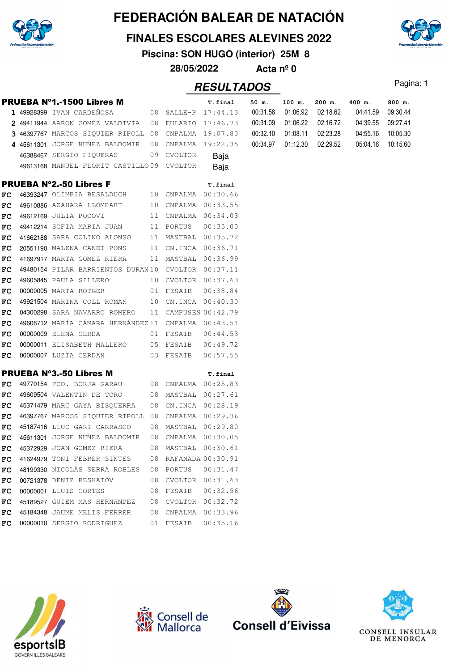

#### **FINALES ESCOLARES ALEVINES 2022**

**Piscina: SON HUGO (interior) 25M 8**

**28/05/2022 Acta nº 0**

|     | <b>PRUEBA Nº1.-1500 Libres M</b>                     |    |                      | T.final             | 50 m.    | 100 m.   | 200 m.   | 400 m.   | 800 m.   |
|-----|------------------------------------------------------|----|----------------------|---------------------|----------|----------|----------|----------|----------|
|     | 1 49928399 IVAN CARDEÑOSA                            |    | 08 SALLE-P 17:44.13  |                     | 00:31.58 | 01:06.92 | 02:18.62 | 04:41.59 | 09:30.44 |
|     | 2 49411944 AARON GOMEZ VALDIVIA 08 EULARIO 17:46.73  |    |                      |                     | 00:31.09 | 01:06.22 | 02:16.72 | 04:39.55 | 09:27.41 |
|     | 3 46397767 MARCOS SIQUIER RIPOLL 08 CNPALMA 19:07.80 |    |                      |                     | 00:32.10 | 01:08.11 | 02:23.28 | 04:55.16 | 10:05.30 |
|     | 4 45611301 JORGE NUÑEZ BALDOMIR                      |    |                      | 08 CNPALMA 19:22.35 | 00:34.97 | 01:12.30 | 02:29.52 | 05:04.16 | 10:15.60 |
|     | 46388467 SERGIO PIQUERAS                             |    | 09 CVOLTOR           | Baja                |          |          |          |          |          |
|     | 49613168 MANUEL FLORIT CASTILLO09 CVOLTOR            |    |                      | Baja                |          |          |          |          |          |
|     | <b>PRUEBA Nº2.-50 Libres F</b>                       |    |                      | T.final             |          |          |          |          |          |
| FC  | 46393247 OLIMPIA BESALDUCH 10 CNPALMA 00:30.66       |    |                      |                     |          |          |          |          |          |
| FC  | 49610886 AZAHARA LLOMPART 10 CNPALMA 00:33.55        |    |                      |                     |          |          |          |          |          |
| FC. | 49612169 JULIA POCOVI                                |    | 11 CNPALMA 00:34.03  |                     |          |          |          |          |          |
| FC  | 49412214 SOFIA MARIA JUAN                            |    | 11 PORTUS            | 00:35.00            |          |          |          |          |          |
| FC  | 41662188 SARA COLINO ALONSO                          |    | 11 MASTBAL 00:35.72  |                     |          |          |          |          |          |
| FC  | 20551190 MALENA CANET PONS                           |    | 11 CN.INCA 00:36.71  |                     |          |          |          |          |          |
| FC. | 41697917 MARTA GOMEZ RIERA                           |    | 11 MASTBAL 00:36.99  |                     |          |          |          |          |          |
| FC  | 49480154 PILAR BARRIENTOS DURAN10 CVOLTOR 00:37.11   |    |                      |                     |          |          |          |          |          |
| FC  | 49605845 PAULA SILLERO                               |    | 10 CVOLTOR 00:37.63  |                     |          |          |          |          |          |
| FC  | 00000005 MARTA ROTGER                                |    | 01 FESAIB            | 00:38.84            |          |          |          |          |          |
| FC  | 49921504 MARINA COLL ROMAN 10 CN.INCA 00:40.30       |    |                      |                     |          |          |          |          |          |
| FC  | 04300298 SARA NAVARRO ROMERO                         |    | 11 CAMPUSES 00:42.79 |                     |          |          |          |          |          |
| FC  | 49606712 MARÍA CÁMARA HERNÁNDEZ11 CNPALMA 00:43.51   |    |                      |                     |          |          |          |          |          |
| FC. | 00000009 ELENA CERDA                                 |    | 01 FESAIB 00:44.53   |                     |          |          |          |          |          |
| FC  | 00000011 ELISABETH MALLERO 05 FESAIB 00:49.72        |    |                      |                     |          |          |          |          |          |
| FC. | 00000007 LUZIA CERDAN 03 FESAIB                      |    |                      | 00:57.55            |          |          |          |          |          |
|     | <b>PRUEBA Nº3.-50 Libres M</b>                       |    |                      | T.final             |          |          |          |          |          |
| FC  | 49770154 FCO. BORJA GARAU 68 CNPALMA 00:25.83        |    |                      |                     |          |          |          |          |          |
| FC  | 49609504 VALENTIN DE TORO                            |    | 08 MASTBAL 00:27.61  |                     |          |          |          |          |          |
| FC  | 45371479 MARC GAYA BISQUERRA                         | 08 | CN.INCA 00:28.19     |                     |          |          |          |          |          |
| FC  | 46397767 MARCOS SIQUIER RIPOLL 08 CNPALMA 00:29.36   |    |                      |                     |          |          |          |          |          |
| FC  | 45187416 LLUC GARI CARRASCO                          |    | 08 MASTBAL 00:29.80  |                     |          |          |          |          |          |
| FC. | 45611301 JORGE NUÑEZ BALDOMIR                        | 08 | CNPALMA 00:30.05     |                     |          |          |          |          |          |
| FC  | 45372929 JOAN GOMEZ RIERA                            |    | 08 MASTBAL 00:30.61  |                     |          |          |          |          |          |
| FC  | 41624979 TONI FEBRER SINTES                          | 08 | RAFANADA 00:30.91    |                     |          |          |          |          |          |
| FC  | 48199330 NICOLÁS SERRA ROBLES                        | 08 | PORTUS               | 00:31.47            |          |          |          |          |          |
| FC  | 00721378 DENIZ RESHATOV                              | 08 |                      | CVOLTOR 00:31.63    |          |          |          |          |          |
| FC  | 00000001 LLUIS CORTES                                | 08 | FESAIB               | 00:32.56            |          |          |          |          |          |
| FC  | 45189527 GUIEM MAS HERNANDEZ                         | 08 |                      | CVOLTOR 00:32.72    |          |          |          |          |          |
| FC  | 45184348 JAUME MELIS FERRER                          | 08 |                      | CNPALMA 00:33.96    |          |          |          |          |          |
| FC  | 00000010 SERGIO RODRIGUEZ                            |    | 01 FESAIB            | 00:35.16            |          |          |          |          |          |









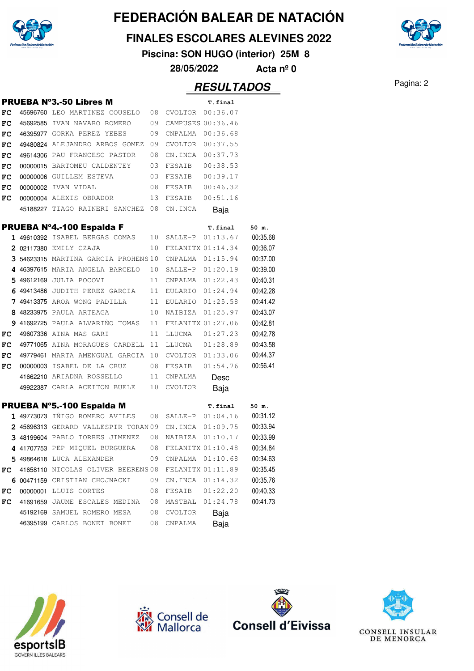

**FINALES ESCOLARES ALEVINES 2022**

**Piscina: SON HUGO (interior) 25M 8**

**28/05/2022 Acta nº 0**

## Pagina: 2 **RESULTADOS**

|    | <b>PRUEBA Nº3.-50 Libres M</b>                       |    |                   | T.final  |          |
|----|------------------------------------------------------|----|-------------------|----------|----------|
| FC | 45696760 LEO MARTINEZ COUSELO 08 CVOLTOR 00:36.07    |    |                   |          |          |
| FC | 45692585 IVAN NAVARO ROMERO                          | 09 | CAMPUSES 00:36.46 |          |          |
| FC | 46395977 GORKA PEREZ YEBES                           | 09 | CNPALMA           | 00:36.68 |          |
| FC | 49480824 ALEJANDRO ARBOS GOMEZ 09                    |    | CVOLTOR 00:37.55  |          |          |
| FC | 49614306 PAU FRANCESC PASTOR                         | 08 | CN.INCA           | 00:37.73 |          |
| FC | 00000015 BARTOMEU CALDENTEY 03                       |    | FESAIB            | 00:38.53 |          |
| FC | 00000006 GUILLEM ESTEVA                              | 03 | FESAIB            | 00:39.17 |          |
| FC | 00000002 IVAN VIDAL                                  | 08 | FESAIB            | 00:46.32 |          |
| FC | 00000004 ALEXIS OBRADOR                              | 13 | FESAIB            | 00:51.16 |          |
|    | 45188227 TIAGO RAINERI SANCHEZ 08                    |    | CN.INCA           | Baja     |          |
|    | PRUEBA Nº4.-100 Espalda F                            |    |                   | T.final  | 50 m.    |
|    | 1 49610392 ISABEL BERGAS COMAS 10 SALLE-P            |    |                   | 01:13.67 | 00:35.68 |
|    | 2 02117380 EMILY CZAJA                               | 10 | FELANITX 01:14.34 |          | 00:36.07 |
|    | 3 54623315 MARTINA GARCIA PROHENS10 CNPALMA 01:15.94 |    |                   |          | 00:37.00 |
|    | 4 46397615 MARIA ANGELA BARCELO 10                   |    | SALLE-P 01:20.19  |          | 00:39.00 |
|    | 5 49612169 JULIA POCOVI                              | 11 | CNPALMA           | 01:22.43 | 00:40.31 |
|    | 6 49413486 JUDITH PEREZ GARCIA 11                    |    | EULARIO           | 01:24.94 | 00:42.28 |
|    | 7 49413375 AROA WONG PADILLA                         | 11 | EULARIO 01:25.58  |          | 00:41.42 |
|    | 8 48233975 PAULA ARTEAGA                             |    | 10 NAIBIZA        | 01:25.97 | 00:43.07 |
|    | 9 41692725 PAULA ALVARIÑO TOMAS 11                   |    | FELANITX 01:27.06 |          | 00:42.81 |
| FC | 49607336 AINA MAS GARI                               | 11 | LLUCMA            | 01:27.23 | 00:42.78 |
| FC | 49771065 AINA MORAGUES CARDELL 11                    |    |                   |          | 00:43.58 |
| FC | 49779461 MARTA AMENGUAL GARCIA 10 CVOLTOR 01:33.06   |    |                   |          | 00:44.37 |
| FC | 00000003 ISABEL DE LA CRUZ 08                        |    | FESAIB            | 01:54.76 | 00:56.41 |
|    | 41662210 ARIADNA ROSSELLO 11                         |    | CNPALMA           | Desc     |          |
|    | 49922387 CARLA ACEITON BUELE 10                      |    | CVOLTOR           | Baja     |          |
|    | PRUEBA Nº5.-100 Espalda M                            |    |                   | T.final  | 50 m.    |
|    | 1 49773073 IÑIGO ROMERO AVILES                       | 08 | SALLE-P 01:04.16  |          | 00:31.12 |
|    | 2 45696313 GERARD VALLESPIR TORAN09 CN.INCA          |    |                   | 01:09.75 | 00:33.94 |
|    | 3 48199604 PABLO TORRES JIMENEZ 08 NAIBIZA           |    |                   | 01:10.17 | 00:33.99 |
|    | 4 41707753 PEP MIQUEL BURGUERA 08                    |    | FELANITX 01:10.48 |          | 00:34.84 |
|    | 5 49864618 LUCA ALEXANDER                            | 09 | CNPALMA           | 01:10.68 | 00:34.63 |
| FC | 41658110 NICOLAS OLIVER BEERENS 08                   |    | FELANITX 01:11.89 |          | 00:35.45 |
|    | 6 00471159 CRISTIAN CHOJNACKI                        | 09 | CN.INCA           | 01:14.32 | 00:35.76 |
| FC | 00000001 LLUIS CORTES                                | 08 | FESAIB            | 01:22.20 | 00:40.33 |
| FC | 41691659 JAUME ESCALES MEDINA                        | 08 | MASTBAL           | 01:24.78 | 00:41.73 |
|    | 45192169 SAMUEL ROMERO MESA                          | 08 | CVOLTOR           | Baja     |          |
|    | 46395199 CARLOS BONET BONET                          | 08 | CNPALMA           | Baja     |          |









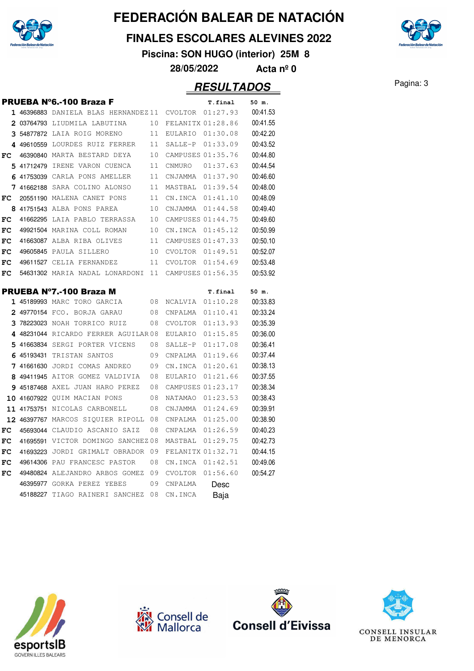

#### **FINALES ESCOLARES ALEVINES 2022**

**Piscina: SON HUGO (interior) 25M 8**

**28/05/2022 Acta nº 0**

|    |             | <b>PRUEBA Nº6.-100 Braza F</b>                               |          |                    | T.final              | 50 m.                |
|----|-------------|--------------------------------------------------------------|----------|--------------------|----------------------|----------------------|
|    |             | 1 46396883 DANIELA BLAS HERNANDEZ11                          |          | <b>CVOLTOR</b>     | 01:27.93             | 00:41.53             |
|    |             | 2 03764793 LIUDMILA LABUTINA                                 | 10       | FELANITX 01:28.86  |                      | 00:41.55             |
|    |             | 3 54877872 LAIA ROIG MORENO                                  | 11       | EULARIO            | 01:30.08             | 00:42.20             |
|    | 4 49610559  | LOURDES RUIZ FERRER                                          | 11       | SALLE-P            | 01:33.09             | 00:43.52             |
| FC |             | 46390840 MARTA BESTARD DEYA                                  | 10       | CAMPUSES 01:35.76  |                      | 00:44.80             |
|    | 5 41712479  | IRENE VARON CUENCA                                           | 11       | <b>CNMURO</b>      | 01:37.63             | 00:44.54             |
|    |             | 6 41753039 CARLA PONS AMELLER                                | 11       | CNJAMMA            | 01:37.90             | 00:46.60             |
|    |             | 7 41662188 SARA COLINO ALONSO                                | 11       | MASTBAL            | 01:39.54             | 00:48.00             |
| FC |             | 20551190 MALENA CANET PONS                                   | 11       | CN.INCA            | 01:41.10             | 00:48.09             |
|    |             | 8 41751543 ALBA PONS PAREA                                   | 10       | CNJAMMA            | 01:44.58             | 00:49.40             |
| FC |             | 41662295 LAIA PABLO TERRASSA                                 | 10       | CAMPUSES 01:44.75  |                      | 00:49.60             |
| FC |             | 49921504 MARINA COLL ROMAN                                   | 10       | CN.INCA            | 01:45.12             | 00:50.99             |
| FC |             | 41663087 ALBA RIBA OLIVES                                    | 11       | CAMPUSES 01:47.33  |                      | 00:50.10             |
| FC |             | 49605845 PAULA SILLERO                                       | 10       | CVOLTOR            | 01:49.51             | 00:52.07             |
| FC |             | 49611527 CELIA FERNANDEZ                                     | 11       | CVOLTOR            | 01:54.69             | 00:53.48             |
| FC |             | 54631302 MARIA NADAL LONARDONI                               | 11       | CAMPUSES 01:56.35  |                      | 00:53.92             |
|    |             |                                                              |          |                    |                      |                      |
|    |             | <b>PRUEBA Nº7.-100 Braza M</b>                               |          |                    | T.final              | 50 m.                |
|    |             | 1 45189993 MARC TORO GARCIA                                  | 08       | NCALVIA            | 01:10.28             | 00:33.83             |
|    |             | 2 49770154 FCO. BORJA GARAU                                  | 08       | CNPALMA            | 01:10.41             | 00:33.24             |
|    |             | 3 78223023 NOAH TORRICO RUIZ                                 | 08       | CVOLTOR            | 01:13.93             | 00:35.39             |
|    |             | 4 48231044 RICARDO FERRER AGUILAR 08                         |          | EULARIO            | 01:15.85             | 00:36.00             |
|    |             | 5 41663834 SERGI PORTER VICENS                               | 08       | SALLE-P            | 01:17.08             | 00:36.41             |
|    | 6 45193431  | TRISTAN SANTOS                                               | 09       | CNPALMA            | 01:19.66             | 00:37.44             |
|    |             | 7 41661630 JORDI COMAS ANDREO                                | 09       | CN.INCA            | 01:20.61             | 00:38.13             |
|    |             | 8 49411945 AITOR GOMEZ VALDIVIA                              | 08       | EULARIO            | 01:21.66             | 00:37.55             |
|    |             | <b>9 45187468</b> AXEL JUAN HARO PEREZ                       | 08       | CAMPUSES 01:23.17  |                      | 00:38.34<br>00:38.43 |
| 10 |             | 41607922 QUIM MACIAN PONS                                    | 08       | NATAMAO            | 01:23.53             |                      |
| 11 | 41753751    | NICOLAS CARBONELL                                            | 08       | CNJAMMA            | 01:24.69<br>01:25.00 | 00:39.91             |
|    | 12 46397767 | MARCOS SIQUIER RIPOLL                                        | 08       | CNPALMA            |                      | 00:38.90             |
| FC | 45693044    | CLAUDIO ASCANIO SAIZ                                         | 08       | CNPALMA            | 01:26.59             | 00:40.23             |
| FC | 41695591    | VICTOR DOMINGO SANCHEZ08                                     |          | MASTBAL            | 01:29.75             | 00:42.73             |
| FC | 41693223    | JORDI GRIMALT OBRADOR                                        | 09<br>08 | FELANITX 01:32.71  |                      | 00:44.15             |
| FC |             |                                                              |          |                    |                      |                      |
|    |             | 49614306 PAU FRANCESC PASTOR                                 |          | CN.INCA            | 01:42.51             | 00:49.06             |
| FC | 49480824    | ALEJANDRO ARBOS GOMEZ                                        | 09       | <b>CVOLTOR</b>     | 01:56.60             | 00:54.27             |
|    |             | 46395977 GORKA PEREZ YEBES<br>45188227 TIAGO RAINERI SANCHEZ | 09<br>08 | CNPALMA<br>CN.INCA | Desc<br>Baja         |                      |







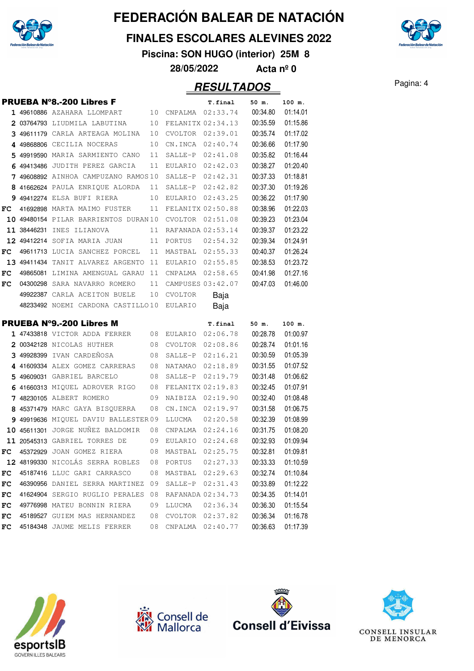

#### **FINALES ESCOLARES ALEVINES 2022**

**Piscina: SON HUGO (interior) 25M 8**

**28/05/2022 Acta nº 0**

|    | <b>PRUEBA N°8.-200 Libres F</b>                                             |    |                      | T.final             | 50 m.    | 100 m.   |
|----|-----------------------------------------------------------------------------|----|----------------------|---------------------|----------|----------|
|    | <b>1 49610886</b> AZAHARA LLOMPART                                          |    |                      | 10 CNPALMA 02:33.74 | 00:34.80 | 01:14.01 |
|    | 203764793 LIUDMILA LABUTINA                                                 | 10 |                      | FELANITX 02:34.13   | 00:35.59 | 01:15.86 |
|    | 3 49611179 CARLA ARTEAGA MOLINA                                             | 10 | CVOLTOR              | 02:39.01            | 00:35.74 | 01:17.02 |
|    | 4 49868806 CECILIA NOCERAS                                                  | 10 |                      | CN.INCA 02:40.74    | 00:36.66 | 01:17.90 |
|    | 5 49919590 MARIA SARMIENTO CANO                                             | 11 |                      | SALLE-P 02:41.08    | 00:35.82 | 01:16.44 |
|    | 6 49413486 JUDITH PEREZ GARCIA                                              | 11 |                      | EULARIO 02:42.03    | 00:38.27 | 01:20.40 |
|    | 7 49608892 AINHOA CAMPUZANO RAMOS10                                         |    | SALLE-P              | 02:42.31            | 00:37.33 | 01:18.81 |
|    | 8 41662624 PAULA ENRIQUE ALORDA                                             | 11 |                      | SALLE-P 02:42.82    | 00:37.30 | 01:19.26 |
|    | 9 49412274 ELSA BUFI RIERA                                                  | 10 |                      | EULARIO 02:43.25    | 00:36.22 | 01:17.90 |
| FC | 41692898 MARTA MAIMO FUSTER                                                 | 11 | FELANITX 02:50.88    |                     | 00:38.96 | 01:22.03 |
|    | 10 49480154 PILAR BARRIENTOS DURAN10 CVOLTOR                                |    |                      | 02:51.08            | 00:39.23 | 01:23.04 |
|    | 11 38446231 INES ILIANOVA                                                   |    | 11 RAFANADA 02:53.14 |                     | 00:39.37 | 01:23.22 |
|    | 12 49412214 Sofia maria juan                                                | 11 |                      | PORTUS 02:54.32     | 00:39.34 | 01:24.91 |
| FC | 49611713 LUCIA SANCHEZ PORCEL                                               | 11 |                      | MASTBAL 02:55.33    | 00:40.37 | 01:26.24 |
|    | 13 49411434 TANIT ALVAREZ ARGENTO                                           | 11 |                      | EULARIO 02:55.85    | 00:38.53 | 01:23.72 |
| FC | 49865081 LIMINA AMENGUAL GARAU                                              | 11 | CNPALMA              | 02:58.65            | 00:41.98 | 01:27.16 |
| FC | 04300298 SARA NAVARRO ROMERO                                                | 11 |                      | CAMPUSES 03:42.07   | 00:47.03 | 01:46.00 |
|    | 49922387 CARLA ACEITON BUELE                                                | 10 | CVOLTOR              | Baja                |          |          |
|    | 48233492 NOEMI CARDONA CASTILLO10 EULARIO                                   |    |                      | Baja                |          |          |
|    |                                                                             |    |                      |                     |          |          |
|    |                                                                             |    |                      | T.final             | 50 m.    | 100 m.   |
|    | <b>PRUEBA Nº9.-200 Libres M</b><br>1 47433818 VICTOR ADDA FERRER 08 EULARIO |    |                      | 02:06.78            | 00:28.78 | 01:00.97 |
|    | 2 00342128 NICOLAS HUTHER                                                   | 08 |                      | CVOLTOR 02:08.86    | 00:28.74 | 01:01.16 |
|    | 3 49928399 IVAN CARDENOSA                                                   | 08 |                      | SALLE-P 02:16.21    | 00:30.59 | 01:05.39 |
|    | 4 41609334 ALEX GOMEZ CARRERAS                                              | 08 | NATAMAO              | 02:18.89            | 00:31.55 | 01:07.52 |
|    | 5 49609031 GABRIEL BARCELO                                                  | 08 | SALLE-P              | 02:19.79            | 00:31.48 | 01:06.62 |
|    | 6 41660313 MIQUEL ADROVER RIGO                                              | 08 |                      | FELANITX 02:19.83   | 00:32.45 | 01:07.91 |
|    | 7 48230105 ALBERT ROMERO                                                    | 09 |                      | NAIBIZA 02:19.90    | 00:32.40 | 01:08.48 |
|    | 8 45371479 MARC GAYA BISQUERRA                                              | 08 |                      | CN.INCA 02:19.97    | 00:31.58 | 01:06.75 |
|    | 9 49919636 MIOUEL DAVIU BALLESTER 09                                        |    | LLUCMA               | 02:20.58            | 00:32.39 | 01:08.99 |
|    | 10 45611301 JORGE NUNEZ BALDOMIR                                            | 08 |                      | CNPALMA 02:24.16    | 00:31.75 | 01:08.20 |
|    | 11 20545313 GABRIEL TORRES DE                                               | 09 | EULARIO 02:24.68     |                     | 00:32.93 | 01:09.94 |
| FC | 45372929 JOAN GOMEZ RIERA                                                   | 08 | MASTBAL              | 02:25.75            | 00:32.81 | 01:09.81 |
|    | 12 48199330 NICOLÁS SERRA ROBLES                                            | 08 | PORTUS               | 02:27.33            | 00:33.33 | 01:10.59 |
| FC | 45187416 LLUC GARI CARRASCO                                                 | 08 | MASTBAL              | 02:29.63            | 00:32.74 | 01:10.84 |
| FC | 46390956 DANIEL SERRA MARTINEZ                                              | 09 | SALLE-P              | 02:31.43            | 00:33.89 | 01:12.22 |
| FC | 41624904 SERGIO RUGLIO PERALES                                              | 08 |                      | RAFANADA 02:34.73   | 00:34.35 | 01:14.01 |
| FC | 49776998 MATEU BONNIN RIERA                                                 | 09 | LLUCMA               | 02:36.34            | 00:36.30 | 01:15.54 |
| FC | 45189527 GUIEM MAS HERNANDEZ                                                | 08 | CVOLTOR              | 02:37.82            | 00:36.34 | 01:16.78 |









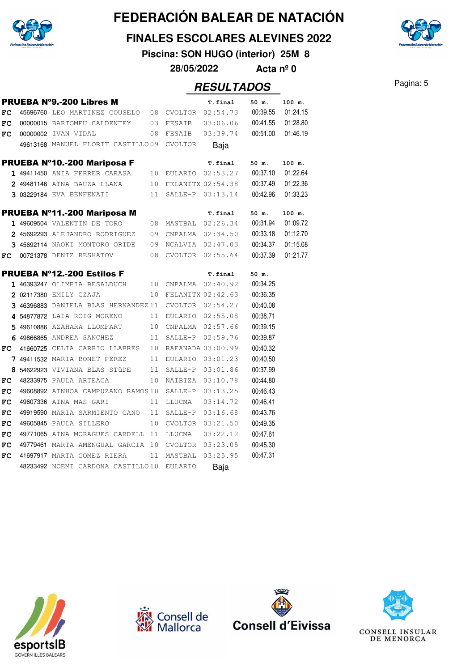

#### **FINALES ESCOLARES ALEVINES 2022**

**Piscina: SON HUGO (interior) 25M 8**

**28/05/2022 Acta nº 0**

|    | <b>PRUEBA Nº9.-200 Libres M</b>                         |                 |                  | T.final                      | 50 m.    | 100 m.   |
|----|---------------------------------------------------------|-----------------|------------------|------------------------------|----------|----------|
| FC | 45696760 LEO MARTINEZ COUSELO 08 CVOLTOR 02:54.73       |                 |                  |                              | 00:39.55 | 01:24.15 |
| FC | 00000015 BARTOMEU CALDENTEY 03                          |                 | FESAIB           | 03:06.06                     | 00:41.55 | 01:28.80 |
| FC | 00000002 IVAN VIDAL                                     |                 |                  |                              | 00:51.00 | 01:46.19 |
|    | 49613168 MANUEL FLORIT CASTILLO09 CVOLTOR               |                 |                  | Baja                         |          |          |
|    | PRUEBA Nº10.-200 Mariposa F                             |                 |                  | T.final                      | 50 m.    | 100 m.   |
|    | 1 49411450 ANIA FERRER CARASA                           |                 |                  | 10 EULARIO 02:53.27 00:37.10 |          | 01:22.64 |
|    | 10<br>2 49481146 AINA BAUZA LLANA                       |                 |                  | FELANITX 02:54.38            | 00:37.49 | 01:22.36 |
|    | 3 03229184 EVA BENFENATI                                | 11              |                  | SALLE-P 03:13.14             | 00:42.96 | 01:33.23 |
|    | PRUEBA Nº11.-200 Mariposa M                             |                 |                  | <b>T.final</b>               | 50 m.    | 100 m.   |
|    | 1 49609504 VALENTIN DE TORO                             |                 |                  | 08 MASTBAL 02:26.34          | 00:31.94 | 01:09.72 |
|    | 2 45692293 ALEJANDRO RODRIGUEZ 09                       |                 |                  | CNPALMA 02:34.50             | 00:33.18 | 01:12.70 |
|    | 3 45692114 NAOKI MONTORO ORIDE 09 NCALVIA 02:47.03      |                 |                  |                              | 00:34.37 | 01:15.08 |
| FC | 08<br>00721378 DENIZ RESHATOV                           |                 |                  | CVOLTOR 02:55.64             | 00:37.39 | 01:21.77 |
|    | <b>PRUEBA Nº12.-200 Estilos F</b>                       |                 |                  | <b>T.final</b>               | 50 m.    |          |
|    | 1 46393247 OLIMPIA BESALDUCH 10 CNPALMA 02:40.92        |                 |                  |                              | 00:34.25 |          |
|    | 2 02117380 EMILY CZAJA                                  |                 |                  | 10 FELANITX 02:42.63         | 00:36.35 |          |
|    | 3 46396883 DANIELA BLAS HERNANDEZ 11                    |                 |                  | CVOLTOR $02:54.27$           | 00:40.08 |          |
|    | 4 54877872 LAIA ROIG MORENO                             |                 |                  | 11 EULARIO 02:55.08          | 00:38.71 |          |
|    | 5 49610886 AZAHARA LLOMPART 10                          |                 |                  | CNPALMA 02:57.66             | 00:39.15 |          |
|    | 6 49866865 ANDREA SANCHEZ                               |                 |                  | 11 SALLE-P 02:59.76          | 00:39.87 |          |
|    | $FC$ 41660725 CELIA CARRIO LLABRES 10 RAFANADA 03:00.99 |                 |                  |                              | 00:40.32 |          |
|    | 7 49411532 MARIA BONET PEREZ 11                         |                 | EULARIO 03:01.23 |                              | 00:40.50 |          |
|    | 8 54622923 VIVIANA BLAS STÜDE 11                        |                 | SALLE-P 03:01.86 |                              | 00:37.99 |          |
| FC | 48233975 PAULA ARTEAGA                                  | 10 <sup>°</sup> | NAIBIZA 03:10.78 |                              | 00:44.80 |          |
| FC | 49608892 AINHOA CAMPUZANO RAMOS10                       |                 | SALLE-P 03:13.25 |                              | 00:46.43 |          |
| FC | 49607336 AINA MAS GARI                                  | 11              | LLUCMA           | 03:14.72                     | 00:46.41 |          |
| FC | 49919590 MARIA SARMIENTO CANO 11                        |                 | SALLE-P          | 03:16.68                     | 00:43.76 |          |
| FC | 49605845 PAULA SILLERO                                  | 10              |                  | CVOLTOR 03:21.50             | 00:49.35 |          |
| FC | 49771065 AINA MORAGUES CARDELL 11                       |                 | LLUCMA           | 03:22.12                     | 00:47.61 |          |
| FC | 49779461 MARTA AMENGUAL GARCIA 10                       |                 |                  | CVOLTOR 03:23.05             | 00:45.30 |          |
| FC | 41697917 MARTA GOMEZ RIERA                              | 11              | MASTBAL 03:25.95 |                              | 00:47.31 |          |
|    | 48233492 NOEMI CARDONA CASTILLO10                       |                 | EULARIO          | Baja                         |          |          |









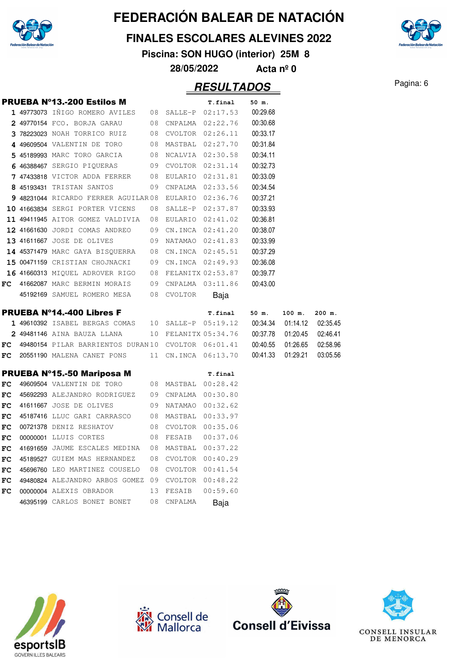

#### **FINALES ESCOLARES ALEVINES 2022**

**Piscina: SON HUGO (interior) 25M 8**

**28/05/2022 Acta nº 0**

|          | <b>PRUEBA N°13.-200 Estilos M</b>                                                           |                     | T.final              | 50 m.                      |                   |                      |
|----------|---------------------------------------------------------------------------------------------|---------------------|----------------------|----------------------------|-------------------|----------------------|
|          | 1 49773073 IÑIGO ROMERO AVILES 08 SALLE-P 02:17.53                                          |                     |                      | 00:29.68                   |                   |                      |
|          | 2 49770154 FCO. BORJA GARAU                                                                 |                     | 08 CNPALMA 02:22.76  | 00:30.68                   |                   |                      |
|          | 3 78223023 NOAH TORRICO RUIZ                                                                |                     | 08 CVOLTOR 02:26.11  | 00:33.17                   |                   |                      |
|          | 4 49609504 VALENTIN DE TORO                                                                 |                     | 08 MASTBAL 02:27.70  | 00:31.84                   |                   |                      |
|          | 5 45189993 MARC TORO GARCIA                                                                 |                     | 08 NCALVIA 02:30.58  | 00:34.11                   |                   |                      |
|          | 6 46388467 SERGIO PIQUERAS 09 CVOLTOR 02:31.14                                              |                     |                      | 00:32.73                   |                   |                      |
|          | 7 47433818 VICTOR ADDA FERRER 08 EULARIO 02:31.81                                           |                     |                      | 00:33.09                   |                   |                      |
|          | 8 45193431 TRISTAN SANTOS                                                                   |                     | 09 CNPALMA 02:33.56  | 00:34.54                   |                   |                      |
|          | 9 48231044 RICARDO FERRER AGUILAR 08 EULARIO 02:36.76                                       |                     |                      | 00:37.21                   |                   |                      |
|          | 10 41663834 SERGI PORTER VICENS                                                             |                     | 08 SALLE-P 02:37.87  | 00:33.93                   |                   |                      |
|          | 11 49411945 AITOR GOMEZ VALDIVIA                                                            |                     | 08 EULARIO 02:41.02  | 00:36.81                   |                   |                      |
|          | 12 41661630 JORDI COMAS ANDREO 09 CN.INCA 02:41.20                                          |                     |                      | 00:38.07                   |                   |                      |
|          | 13 41611667 JOSE DE OLIVES                                                                  |                     | 09 NATAMAO 02:41.83  | 00:33.99                   |                   |                      |
|          | 14 45371479 MARC GAYA BISQUERRA  08 CN. INCA 02:45.51                                       |                     |                      | 00:37.29                   |                   |                      |
|          | 15 00471159 CRISTIAN CHOJNACKI 09 CN.INCA 02:49.93                                          |                     |                      | 00:36.08                   |                   |                      |
|          | 16 41660313 MIQUEL ADROVER RIGO 08 FELANITX 02:53.87                                        |                     |                      | 00:39.77                   |                   |                      |
| FC       | 41662087 MARC BERMIN MORAIS 09 CNPALMA 03:11.86                                             |                     |                      | 00:43.00                   |                   |                      |
|          | 45192169 SAMUEL ROMERO MESA 08 CVOLTOR                                                      |                     | Baja                 |                            |                   |                      |
|          |                                                                                             |                     |                      |                            |                   |                      |
|          |                                                                                             |                     |                      |                            |                   |                      |
|          | <b>PRUEBA N°14.-400 Libres F</b><br>$149610392$ ISABEL BERGAS COMAS $10$ SALLE-P $05:19.12$ |                     | T.final              | 50 m.<br>00:34.34 01:14.12 | 100 m.            | $200$ m.<br>02:35.45 |
|          | 2 49481146 AINA BAUZA LLANA                                                                 |                     |                      | 00:37.78 01:20.45          |                   | 02:46.41             |
| FC       | 49480154 PILAR BARRIENTOS DURAN10 CVOLTOR 06:01.41                                          |                     | 10 FELANITX 05:34.76 |                            |                   | 02:58.96             |
| FC       | 20551190 MALENA CANET PONS                                                                  |                     | 11 CN.INCA 06:13.70  | 00:40.55 01:26.65          | 00:41.33 01:29.21 | 03:05.56             |
|          |                                                                                             |                     |                      |                            |                   |                      |
|          | PRUEBA Nº15.-50 Mariposa M                                                                  |                     | T.final              |                            |                   |                      |
| FC<br>FC | 49609504 VALENTIN DE TORO                                                                   | 08 MASTBAL 00:28.42 |                      |                            |                   |                      |
| FC       | 45692293 ALEJANDRO RODRIGUEZ 09 CNPALMA 00:30.80<br>41611667 JOSE DE OLIVES                 |                     |                      |                            |                   |                      |
| FC       |                                                                                             | 09 NATAMAO 00:32.62 |                      |                            |                   |                      |
| FC       | 45187416 LLUC GARI CARRASCO 08 MASTBAL 00:33.97<br>00721378 DENIZ RESHATOV                  | 08 CVOLTOR 00:35.06 |                      |                            |                   |                      |
| FC       | 00000001 LLUIS CORTES                                                                       | 08 FESAIB  00:37.06 |                      |                            |                   |                      |
| FC       | 41691659 JAUME ESCALES MEDINA 08 MASTBAL 00:37.22                                           |                     |                      |                            |                   |                      |
| FC       | 45189527 GUIEM MAS HERNANDEZ                                                                | 08 CVOLTOR 00:40.29 |                      |                            |                   |                      |
| FC       | 45696760 LEO MARTINEZ COUSELO                                                               | 08 CVOLTOR 00:41.54 |                      |                            |                   |                      |
| FC       | 49480824 ALEJANDRO ARBOS GOMEZ 09 CVOLTOR 00:48.22                                          |                     |                      |                            |                   |                      |
| FC       | 00000004 ALEXIS OBRADOR                                                                     | 13 FESAIB           | 00:59.60             |                            |                   |                      |









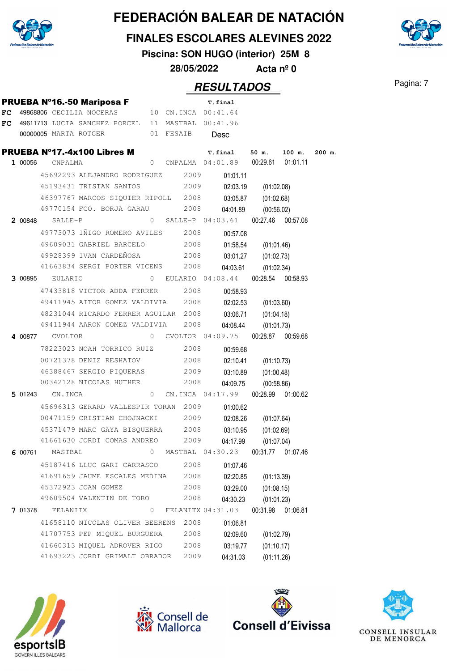

**FINALES ESCOLARES ALEVINES 2022**

**Piscina: SON HUGO (interior) 25M 8**

**28/05/2022 Acta nº 0**

|    |         |                        |                                                                       |   |                     | T.final                              |            |                   |          |
|----|---------|------------------------|-----------------------------------------------------------------------|---|---------------------|--------------------------------------|------------|-------------------|----------|
| FC |         |                        | <b>PRUEBA Nº16.-50 Mariposa F</b><br>49868806 CECILIA NOCERAS         |   | 10 CN.INCA 00:41.64 |                                      |            |                   |          |
| FC |         |                        | 49611713 LUCIA SANCHEZ PORCEL 11 MASTBAL 00:41.96                     |   |                     |                                      |            |                   |          |
|    |         |                        | 00000005 MARTA ROTGER 01 FESAIB                                       |   |                     | Desc                                 |            |                   |          |
|    |         |                        | <b>PRUEBA Nº17.-4x100 Libres M</b>                                    |   |                     | T.final                              | 50 m.      | 100 m.            | $200$ m. |
|    | 1 00056 | CNPALMA                |                                                                       | 0 |                     | CNPALMA 04:01.89                     | 00:29.61   | 01:01.11          |          |
|    |         |                        | 45692293 ALEJANDRO RODRIGUEZ 2009                                     |   |                     | 01:01.11                             |            |                   |          |
|    |         |                        | 45193431 TRISTAN SANTOS                                               |   | 2009                | 02:03.19                             | (01:02.08) |                   |          |
|    |         |                        | 46397767 MARCOS SIQUIER RIPOLL 2008                                   |   |                     | 03:05.87                             | (01:02.68) |                   |          |
|    |         |                        | 49770154 FCO. BORJA GARAU                                             |   | 2008                | 04:01.89                             | (00:56.02) |                   |          |
|    | 2 00848 | SALLE-P                |                                                                       |   |                     | $0$ SALLE-P $04:03.61$               |            | 00:27.46 00:57.08 |          |
|    |         |                        | 49773073 IÑIGO ROMERO AVILES 2008                                     |   |                     | 00:57.08                             |            |                   |          |
|    |         |                        | 49609031 GABRIEL BARCELO                                              |   | 2008                | 01:58.54                             | (01:01.46) |                   |          |
|    |         |                        | 49928399 IVAN CARDEÑOSA                                               |   | 2008                | 03:01.27                             | (01:02.73) |                   |          |
|    |         |                        | 41663834 SERGI PORTER VICENS                                          |   | 2008                | 04:03.61                             | (01:02.34) |                   |          |
|    |         | 3 00895 EULARIO        |                                                                       |   |                     | 0 EULARIO 04:08.44                   |            | 00:28.54 00:58.93 |          |
|    |         |                        | 47433818 VICTOR ADDA FERRER 2008                                      |   |                     | 00:58.93                             |            |                   |          |
|    |         |                        | 49411945 AITOR GOMEZ VALDIVIA 2008                                    |   |                     | 02:02.53                             | (01:03.60) |                   |          |
|    |         |                        | 48231044 RICARDO FERRER AGUILAR 2008                                  |   |                     | 03:06.71                             | (01:04.18) |                   |          |
|    |         |                        | 49411944 AARON GOMEZ VALDIVIA                                         |   | 2008                | 04:08.44                             | (01:01.73) |                   |          |
|    |         | 4 00877 CVOLTOR        |                                                                       |   |                     | 0 CVOLTOR 04:09.75                   |            | 00:28.87 00:59.68 |          |
|    |         |                        | 78223023 NOAH TORRICO RUIZ 2008                                       |   |                     | 00:59.68                             |            |                   |          |
|    |         |                        | 00721378 DENIZ RESHATOV                                               |   | 2008                | 02:10.41                             |            |                   |          |
|    |         |                        | 46388467 SERGIO PIQUERAS 2009                                         |   |                     | 03:10.89                             | (01:10.73) |                   |          |
|    |         |                        | 00342128 NICOLAS HUTHER                                               |   | 2008                | 04:09.75                             | (01:00.48) |                   |          |
|    |         | <b>5 01243</b> CN.INCA |                                                                       | 0 |                     | CN.INCA 04:17.99                     | (00:58.86) | 00:28.99 01:00.62 |          |
|    |         |                        |                                                                       |   |                     |                                      |            |                   |          |
|    |         |                        | 45696313 GERARD VALLESPIR TORAN 2009                                  |   |                     | 01:00.62                             |            |                   |          |
|    |         |                        | 00471159 CRISTIAN CHOJNACKI 2009                                      |   |                     | 02:08.26                             | (01:07.64) |                   |          |
|    |         |                        | 45371479 MARC GAYA BISQUERRA 2008<br>41661630 JORDI COMAS ANDREO 2009 |   |                     | 03:10.95                             | (01:02.69) |                   |          |
|    |         |                        |                                                                       |   |                     | 04:17.99                             | (01:07.04) |                   |          |
| 6  | 00761   | MASTBAL                |                                                                       |   |                     | 0 MASTBAL 04:30.23 00:31.77 01:07.46 |            |                   |          |
|    |         |                        | 45187416 LLUC GARI CARRASCO                                           |   | 2008                | 01:07.46                             |            |                   |          |
|    |         |                        | 41691659 JAUME ESCALES MEDINA                                         |   | 2008                | 02:20.85                             | (01:13.39) |                   |          |
|    |         |                        | 45372923 JOAN GOMEZ                                                   |   | 2008                | 03:29.00                             | (01:08.15) |                   |          |
|    |         |                        | 49609504 VALENTIN DE TORO                                             |   | 2008                | 04:30.23                             | (01:01.23) |                   |          |
|    | 7 01378 | FELANITX               |                                                                       | 0 |                     | FELANITX 04:31.03                    | 00:31.98   | 01:06.81          |          |
|    |         |                        | 41658110 NICOLAS OLIVER BEERENS                                       |   | 2008                | 01:06.81                             |            |                   |          |
|    |         |                        | 41707753 PEP MIQUEL BURGUERA                                          |   | 2008                | 02:09.60                             | (01:02.79) |                   |          |
|    |         |                        | 41660313 MIQUEL ADROVER RIGO                                          |   | 2008                | 03:19.77                             | (01:10.17) |                   |          |
|    |         |                        | 41693223 JORDI GRIMALT OBRADOR                                        |   | 2009                | 04:31.03                             | (01:11.26) |                   |          |









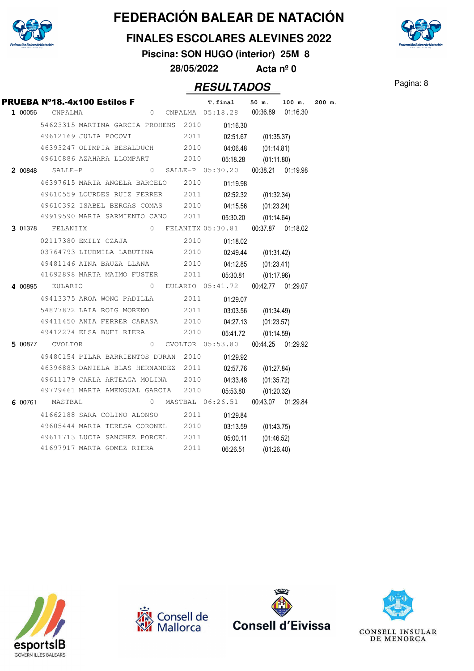

#### **FINALES ESCOLARES ALEVINES 2022**

**Piscina: SON HUGO (interior) 25M 8**

**28/05/2022 Acta nº 0**

## Pagina: 8 **RESULTADOS**

|         | PRUEBA Nº18.-4x100 Estilos F         |                                      |                |      | T.final           | 50 m.             | 100 m.   | 200 m. |
|---------|--------------------------------------|--------------------------------------|----------------|------|-------------------|-------------------|----------|--------|
| 1 00056 | CNPALMA                              |                                      | $\overline{0}$ |      | CNPALMA 05:18.28  | 00:36.89          | 01:16.30 |        |
|         | 54623315 MARTINA GARCIA PROHENS 2010 |                                      |                |      | 01:16.30          |                   |          |        |
|         | 49612169 JULIA POCOVI                |                                      |                | 2011 | 02:51.67          | (01:35.37)        |          |        |
|         | 46393247 OLIMPIA BESALDUCH 2010      |                                      |                |      | 04:06.48          | (01:14.81)        |          |        |
|         | 49610886 AZAHARA LLOMPART            |                                      |                | 2010 | 05:18.28          | (01:11.80)        |          |        |
| 2 00848 | SALLE-P                              |                                      | $\mathbf{0}$   |      | SALLE-P 05:30.20  | 00:38.21 01:19.98 |          |        |
|         | 46397615 MARIA ANGELA BARCELO        |                                      |                | 2010 | 01:19.98          |                   |          |        |
|         | 49610559 LOURDES RUIZ FERRER 2011    |                                      |                |      | 02:52.32          | (01:32.34)        |          |        |
|         | 49610392 ISABEL BERGAS COMAS 2010    |                                      |                |      | 04:15.56          | (01:23.24)        |          |        |
|         | 49919590 MARIA SARMIENTO CANO        |                                      |                | 2011 | 05:30.20          | (01:14.64)        |          |        |
| 3 01378 | FELANITX                             |                                      | $\circ$        |      | FELANITX 05:30.81 | 00:37.87 01:18.02 |          |        |
|         | 02117380 EMILY CZAJA                 |                                      |                | 2010 | 01:18.02          |                   |          |        |
|         | 03764793 LIUDMILA LABUTINA 2010      |                                      |                |      | 02:49.44          | (01:31.42)        |          |        |
|         | 49481146 AINA BAUZA LLANA 2010       |                                      |                |      | 04:12.85          | (01:23.41)        |          |        |
|         |                                      | 41692898 MARTA MAIMO FUSTER          |                | 2011 | 05:30.81          | (01:17.96)        |          |        |
| 4 00895 | EULARIO                              |                                      | $\Omega$       |      | EULARIO 05:41.72  | 00:42.77 01:29.07 |          |        |
|         | 49413375 AROA WONG PADILLA           |                                      |                | 2011 | 01:29.07          |                   |          |        |
|         |                                      | 54877872 LAIA ROIG MORENO            |                | 2011 | 03:03.56          | (01:34.49)        |          |        |
|         | 49411450 ANIA FERRER CARASA 2010     |                                      |                |      | 04:27.13          | (01:23.57)        |          |        |
|         |                                      | 49412274 ELSA BUFI RIERA             |                | 2010 | 05:41.72          | (01:14.59)        |          |        |
| 5 00877 | CVOLTOR                              |                                      | 0              |      | CVOLTOR 05:53.80  | 00:44.25 01:29.92 |          |        |
|         | 49480154 PILAR BARRIENTOS DURAN 2010 |                                      |                |      | 01:29.92          |                   |          |        |
|         |                                      | 46396883 DANIELA BLAS HERNANDEZ 2011 |                |      | 02:57.76          | (01:27.84)        |          |        |
|         |                                      | 49611179 CARLA ARTEAGA MOLINA 2010   |                |      | 04:33.48          | (01:35.72)        |          |        |
|         | 49779461 MARTA AMENGUAL GARCIA       |                                      |                | 2010 | 05:53.80          | (01:20.32)        |          |        |
| 6 00761 | MASTBAL                              |                                      | $\Omega$       |      | MASTBAL 06:26.51  | 00:43.07 01:29.84 |          |        |
|         |                                      | 41662188 SARA COLINO ALONSO          |                | 2011 | 01:29.84          |                   |          |        |
|         | 49605444 MARIA TERESA CORONEL 2010   |                                      |                |      | 03:13.59          | (01:43.75)        |          |        |
|         |                                      | 49611713 LUCIA SANCHEZ PORCEL        |                | 2011 | 05:00.11          | (01:46.52)        |          |        |
|         |                                      | 41697917 MARTA GOMEZ RIERA           |                | 2011 | 06:26.51          | (01:26.40)        |          |        |
|         |                                      |                                      |                |      |                   |                   |          |        |









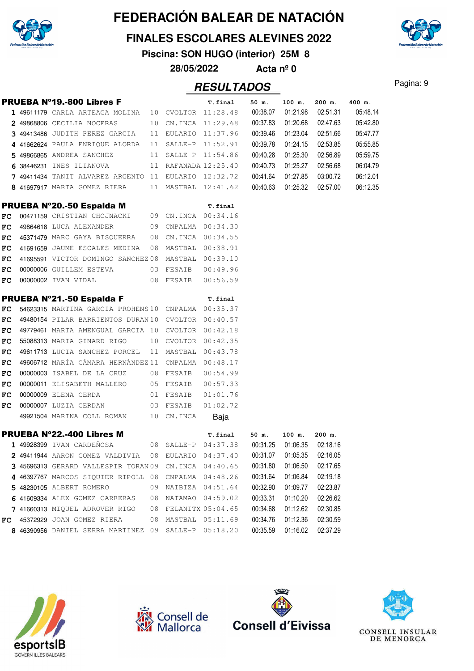

#### **FINALES ESCOLARES ALEVINES 2022**

**Piscina: SON HUGO (interior) 25M 8**

**28/05/2022 Acta nº 0**

|            | <b>PRUEBA Nº19.-800 Libres F</b>                     |    |                      | T.final             | 50 m.    | 100 m.            | 200 m.   | 400 m.   |
|------------|------------------------------------------------------|----|----------------------|---------------------|----------|-------------------|----------|----------|
|            | 1 49611179 CARLA ARTEAGA MOLINA 10 CVOLTOR 11:28.48  |    |                      |                     | 00:38.07 | 01:21.98          | 02:51.31 | 05:48.14 |
|            | 2 49868806 CECILIA NOCERAS                           |    | 10 CN.INCA 11:29.68  |                     | 00:37.83 | 01:20.68          | 02:47.63 | 05:42.80 |
|            | 3 49413486 JUDITH PEREZ GARCIA                       |    | 11 EULARIO 11:37.96  |                     | 00:39.46 | 01:23.04          | 02:51.66 | 05:47.77 |
|            | 4 41662624 PAULA ENRIQUE ALORDA                      |    | 11 SALLE-P 11:52.91  |                     | 00:39.78 | 01:24.15          | 02:53.85 | 05:55.85 |
|            | 5 49866865 ANDREA SANCHEZ                            |    | 11 SALLE-P 11:54.86  |                     | 00:40.28 | 01:25.30          | 02:56.89 | 05:59.75 |
|            | 6 38446231 INES ILIANOVA                             |    | 11 RAFANADA 12:25.40 |                     | 00:40.73 | 01:25.27          | 02:56.68 | 06:04.79 |
|            | 7 49411434 TANIT ALVAREZ ARGENTO 11 EULARIO 12:32.72 |    |                      |                     | 00:41.64 | 01:27.85          | 03:00.72 | 06:12.01 |
|            | 8 41697917 MARTA GOMEZ RIERA                         |    | 11 MASTBAL 12:41.62  |                     | 00:40.63 | 01:25.32          | 02:57.00 | 06:12.35 |
|            | PRUEBA Nº20.-50 Espalda M                            |    |                      | T.final             |          |                   |          |          |
| FC         | 00471159 CRISTIAN CHOJNACKI 09 CN.INCA 00:34.16      |    |                      |                     |          |                   |          |          |
| FC         | 49864618 LUCA ALEXANDER                              |    | 09 CNPALMA 00:34.30  |                     |          |                   |          |          |
| FC         | 45371479 MARC GAYA BISQUERRA 08 CN.INCA 00:34.55     |    |                      |                     |          |                   |          |          |
| FC.        | 41691659 JAUME ESCALES MEDINA                        |    | 08 MASTBAL 00:38.91  |                     |          |                   |          |          |
| ${\bf FC}$ | 41695591 VICTOR DOMINGO SANCHEZ08 MASTBAL 00:39.10   |    |                      |                     |          |                   |          |          |
| ${\tt FC}$ | 00000006 GUILLEM ESTEVA                              |    | 03 FESAIB            | 00:49.96            |          |                   |          |          |
| FC         | 00000002 IVAN VIDAL                                  |    | 08 FESAIB 00:56.59   |                     |          |                   |          |          |
|            | <b>PRUEBA Nº21.-50 Espalda F</b>                     |    |                      | T.final             |          |                   |          |          |
| ${\bf FC}$ | 54623315 MARTINA GARCIA PROHENS10 CNPALMA 00:35.37   |    |                      |                     |          |                   |          |          |
| FC         | 49480154 PILAR BARRIENTOS DURAN10 CVOLTOR 00:40.57   |    |                      |                     |          |                   |          |          |
| FC         | 49779461 MARTA AMENGUAL GARCIA 10 CVOLTOR 00:42.18   |    |                      |                     |          |                   |          |          |
| FC         | 55088313 MARIA GINARD RIGO                           |    | 10 CVOLTOR 00:42.35  |                     |          |                   |          |          |
| FC         | 49611713 LUCIA SANCHEZ PORCEL                        |    | 11 MASTBAL 00:43.78  |                     |          |                   |          |          |
| FC         | 49606712 MARÍA CÁMARA HERNÁNDEZ11 CNPALMA 00:48.17   |    |                      |                     |          |                   |          |          |
| FC         | 00000003 ISABEL DE LA CRUZ                           |    | 08 FESAIB            | 00:54.99            |          |                   |          |          |
| FC         | 00000011 ELISABETH MALLERO                           |    | 05 FESAIB            | 00:57.33            |          |                   |          |          |
| FC         | 00000009 ELENA CERDA                                 |    | 01 FESAIB            | 01:01.76            |          |                   |          |          |
| FC         | 00000007 LUZIA CERDAN                                |    | 03 FESAIB            | 01:02.72            |          |                   |          |          |
|            | 49921504 MARINA COLL ROMAN                           |    | 10 CN.INCA           | Baja                |          |                   |          |          |
|            | <b>PRUEBA N°22.-400 Libres M</b>                     |    |                      | T.final             | 50 m.    | $100$ m.          | $200$ m. |          |
|            | 1 49928399 IVAN CARDEÑOSA                            |    |                      | 08 SALLE-P 04:37.38 |          | 00:31.25 01:06.35 | 02:18.16 |          |
|            | 2 49411944 AARON GOMEZ VALDIVIA                      | 08 | EULARIO              | 04:37.40            | 00:31.07 | 01:05.35          | 02:16.05 |          |
|            | 3 45696313 GERARD VALLESPIR TORAN 09                 |    | CN.INCA              | 04:40.65            | 00:31.80 | 01:06.50          | 02:17.65 |          |
|            | 4 46397767 MARCOS SIQUIER RIPOLL 08                  |    |                      | CNPALMA 04:48.26    | 00:31.64 | 01:06.84          | 02:19.18 |          |
|            | 5 48230105 ALBERT ROMERO                             | 09 |                      | NAIBIZA 04:51.64    | 00:32.90 | 01:09.77          | 02:23.87 |          |
|            | 6 41609334 ALEX GOMEZ CARRERAS                       | 08 | NATAMAO              | 04:59.02            | 00:33.31 | 01:10.20          | 02:26.62 |          |
|            | 7 41660313 MIQUEL ADROVER RIGO                       | 08 |                      | FELANITX 05:04.65   | 00:34.68 | 01:12.62          | 02:30.85 |          |
| FC.        | 45372929 JOAN GOMEZ RIERA                            | 08 | MASTBAL              | 05:11.69            | 00:34.76 | 01:12.36          | 02:30.59 |          |
|            | 8 46390956 DANIEL SERRA MARTINEZ 09                  |    | SALLE-P              | 05:18.20            | 00:35.59 | 01:16.02          | 02:37.29 |          |









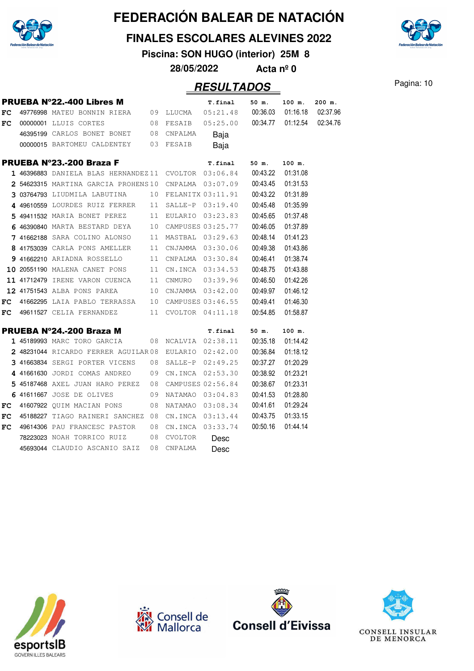

#### **FINALES ESCOLARES ALEVINES 2022**

**Piscina: SON HUGO (interior) 25M 8**

**28/05/2022 Acta nº 0**

| <b>PRUEBA Nº22.-400 Libres M</b><br>100 m.<br>T.final<br>50 m.<br>49776998 MATEU BONNIN RIERA 09 LLUCMA<br>00:36.03<br>${\bf FC}$<br>05:21.48<br>01:16.18<br>00:34.77 01:12.54<br>00000001 LLUIS CORTES<br>08 FESAIB<br>05:25.00<br>FC<br>46395199 CARLOS BONET BONET 08 CNPALMA<br>Baja<br>00000015 BARTOMEU CALDENTEY 03 FESAIB<br>Baja<br><b>PRUEBA Nº23.-200 Braza F</b><br>100 m.<br>T.final<br>50 m.<br>00:43.22<br>01:31.08<br>$1$ 46396883 daniela blas hernandez $11$ cvoltor 03:06.84<br>00:43.45<br>01:31.53<br>2 54623315 MARTINA GARCIA PROHENS10 CNPALMA 03:07.09<br>00:43.22<br>01:31.89<br>303764793 LIUDMILA LABUTINA<br>10 FELANITX 03:11.91<br>00:45.48<br>01:35.99<br>4 49610559 LOURDES RUIZ FERRER<br>11 SALLE-P 03:19.40<br>00:45.65<br>01:37.48<br>5 49411532 MARIA BONET PEREZ<br>11 EULARIO 03:23.83<br>6 46390840 MARTA BESTARD DEYA<br>10 CAMPUSES 03:25.77<br>00:46.05<br>01:37.89<br>00:48.14<br>01:41.23<br>7 41662188 SARA COLINO ALONSO<br>11 MASTBAL 03:29.63<br>00:49.38<br>01:43.86<br>8 41753039 CARLA PONS AMELLER<br>11 CNJAMMA 03:30.06<br>01:38.74<br>00:46.41<br>9 41662210 ARIADNA ROSSELLO<br>11 CNPALMA 03:30.84<br>00:48.75<br>01:43.88<br>10 20551190 MALENA CANET PONS<br>11 CN.INCA 03:34.53<br>00:46.50<br>01:42.26<br>11 CNMURO 03:39.96<br><b>11 41712479</b> IRENE VARON CUENCA<br>00:49.97<br>01:46.12<br>12 41751543 ALBA PONS PAREA<br>10 CNJAMMA 03:42.00<br>00:49.41<br>01:46.30<br>41662295 LAIA PABLO TERRASSA 10 CAMPUSES 03:46.55<br>FC<br>49611527 CELIA FERNANDEZ<br>11 CVOLTOR 04:11.18<br>00:54.85<br>01:58.87<br>FC.<br>PRUEBA Nº24.-200 Braza M<br>100 m.<br><b>T.final</b><br>50 m.<br>00:35.18<br>01:14.42<br>1 45189993 MARC TORO GARCIA<br>08 NCALVIA 02:38.11<br>00:36.84<br>01:18.12<br>2 48231044 RICARDO FERRER AGUILAR 08 EULARIO 02:42.00<br>00:37.27<br>01:20.29<br>3 41663834 SERGI PORTER VICENS 08 SALLE-P 02:49.25<br>00:38.92<br>01:23.21<br>4 41661630 JORDI COMAS ANDREO 09 CN.INCA 02:53.30<br>00:38.67<br>01:23.31<br>5 45187468 AXEL JUAN HARO PEREZ 08 CAMPUSES 02:56.84<br>00:41.53<br>01:28.80<br>6 41611667 JOSE DE OLIVES<br>09<br>NATAMAO 03:04.83<br>08<br>NATAMAO 03:08.34<br>00:41.61<br>01:29.24<br>41607922 QUIM MACIAN PONS<br>FC<br>00:43.75<br>01:33.15<br>45188227 TIAGO RAINERI SANCHEZ 08<br>FC<br>CN.INCA 03:13.44<br>00:50.16<br>01:44.14<br>49614306 PAU FRANCESC PASTOR<br>08<br>CN.INCA 03:33.74<br>FC<br>78223023 NOAH TORRICO RUIZ<br>08<br><b>CVOLTOR</b><br>Desc<br>45693044 CLAUDIO ASCANIO SAIZ<br>08<br>CNPALMA |  |  |      |  |          |
|---------------------------------------------------------------------------------------------------------------------------------------------------------------------------------------------------------------------------------------------------------------------------------------------------------------------------------------------------------------------------------------------------------------------------------------------------------------------------------------------------------------------------------------------------------------------------------------------------------------------------------------------------------------------------------------------------------------------------------------------------------------------------------------------------------------------------------------------------------------------------------------------------------------------------------------------------------------------------------------------------------------------------------------------------------------------------------------------------------------------------------------------------------------------------------------------------------------------------------------------------------------------------------------------------------------------------------------------------------------------------------------------------------------------------------------------------------------------------------------------------------------------------------------------------------------------------------------------------------------------------------------------------------------------------------------------------------------------------------------------------------------------------------------------------------------------------------------------------------------------------------------------------------------------------------------------------------------------------------------------------------------------------------------------------------------------------------------------------------------------------------------------------------------------------------------------------------------------------------------------------------------------------------------------------------------------------------------------------------------------------------------------------------------------------------------------------------------------------------------------------------------------------------------|--|--|------|--|----------|
|                                                                                                                                                                                                                                                                                                                                                                                                                                                                                                                                                                                                                                                                                                                                                                                                                                                                                                                                                                                                                                                                                                                                                                                                                                                                                                                                                                                                                                                                                                                                                                                                                                                                                                                                                                                                                                                                                                                                                                                                                                                                                                                                                                                                                                                                                                                                                                                                                                                                                                                                       |  |  |      |  | $200$ m. |
|                                                                                                                                                                                                                                                                                                                                                                                                                                                                                                                                                                                                                                                                                                                                                                                                                                                                                                                                                                                                                                                                                                                                                                                                                                                                                                                                                                                                                                                                                                                                                                                                                                                                                                                                                                                                                                                                                                                                                                                                                                                                                                                                                                                                                                                                                                                                                                                                                                                                                                                                       |  |  |      |  | 02:37.96 |
|                                                                                                                                                                                                                                                                                                                                                                                                                                                                                                                                                                                                                                                                                                                                                                                                                                                                                                                                                                                                                                                                                                                                                                                                                                                                                                                                                                                                                                                                                                                                                                                                                                                                                                                                                                                                                                                                                                                                                                                                                                                                                                                                                                                                                                                                                                                                                                                                                                                                                                                                       |  |  |      |  | 02:34.76 |
|                                                                                                                                                                                                                                                                                                                                                                                                                                                                                                                                                                                                                                                                                                                                                                                                                                                                                                                                                                                                                                                                                                                                                                                                                                                                                                                                                                                                                                                                                                                                                                                                                                                                                                                                                                                                                                                                                                                                                                                                                                                                                                                                                                                                                                                                                                                                                                                                                                                                                                                                       |  |  |      |  |          |
|                                                                                                                                                                                                                                                                                                                                                                                                                                                                                                                                                                                                                                                                                                                                                                                                                                                                                                                                                                                                                                                                                                                                                                                                                                                                                                                                                                                                                                                                                                                                                                                                                                                                                                                                                                                                                                                                                                                                                                                                                                                                                                                                                                                                                                                                                                                                                                                                                                                                                                                                       |  |  |      |  |          |
|                                                                                                                                                                                                                                                                                                                                                                                                                                                                                                                                                                                                                                                                                                                                                                                                                                                                                                                                                                                                                                                                                                                                                                                                                                                                                                                                                                                                                                                                                                                                                                                                                                                                                                                                                                                                                                                                                                                                                                                                                                                                                                                                                                                                                                                                                                                                                                                                                                                                                                                                       |  |  |      |  |          |
|                                                                                                                                                                                                                                                                                                                                                                                                                                                                                                                                                                                                                                                                                                                                                                                                                                                                                                                                                                                                                                                                                                                                                                                                                                                                                                                                                                                                                                                                                                                                                                                                                                                                                                                                                                                                                                                                                                                                                                                                                                                                                                                                                                                                                                                                                                                                                                                                                                                                                                                                       |  |  |      |  |          |
|                                                                                                                                                                                                                                                                                                                                                                                                                                                                                                                                                                                                                                                                                                                                                                                                                                                                                                                                                                                                                                                                                                                                                                                                                                                                                                                                                                                                                                                                                                                                                                                                                                                                                                                                                                                                                                                                                                                                                                                                                                                                                                                                                                                                                                                                                                                                                                                                                                                                                                                                       |  |  |      |  |          |
|                                                                                                                                                                                                                                                                                                                                                                                                                                                                                                                                                                                                                                                                                                                                                                                                                                                                                                                                                                                                                                                                                                                                                                                                                                                                                                                                                                                                                                                                                                                                                                                                                                                                                                                                                                                                                                                                                                                                                                                                                                                                                                                                                                                                                                                                                                                                                                                                                                                                                                                                       |  |  |      |  |          |
|                                                                                                                                                                                                                                                                                                                                                                                                                                                                                                                                                                                                                                                                                                                                                                                                                                                                                                                                                                                                                                                                                                                                                                                                                                                                                                                                                                                                                                                                                                                                                                                                                                                                                                                                                                                                                                                                                                                                                                                                                                                                                                                                                                                                                                                                                                                                                                                                                                                                                                                                       |  |  |      |  |          |
|                                                                                                                                                                                                                                                                                                                                                                                                                                                                                                                                                                                                                                                                                                                                                                                                                                                                                                                                                                                                                                                                                                                                                                                                                                                                                                                                                                                                                                                                                                                                                                                                                                                                                                                                                                                                                                                                                                                                                                                                                                                                                                                                                                                                                                                                                                                                                                                                                                                                                                                                       |  |  |      |  |          |
|                                                                                                                                                                                                                                                                                                                                                                                                                                                                                                                                                                                                                                                                                                                                                                                                                                                                                                                                                                                                                                                                                                                                                                                                                                                                                                                                                                                                                                                                                                                                                                                                                                                                                                                                                                                                                                                                                                                                                                                                                                                                                                                                                                                                                                                                                                                                                                                                                                                                                                                                       |  |  |      |  |          |
|                                                                                                                                                                                                                                                                                                                                                                                                                                                                                                                                                                                                                                                                                                                                                                                                                                                                                                                                                                                                                                                                                                                                                                                                                                                                                                                                                                                                                                                                                                                                                                                                                                                                                                                                                                                                                                                                                                                                                                                                                                                                                                                                                                                                                                                                                                                                                                                                                                                                                                                                       |  |  |      |  |          |
|                                                                                                                                                                                                                                                                                                                                                                                                                                                                                                                                                                                                                                                                                                                                                                                                                                                                                                                                                                                                                                                                                                                                                                                                                                                                                                                                                                                                                                                                                                                                                                                                                                                                                                                                                                                                                                                                                                                                                                                                                                                                                                                                                                                                                                                                                                                                                                                                                                                                                                                                       |  |  |      |  |          |
|                                                                                                                                                                                                                                                                                                                                                                                                                                                                                                                                                                                                                                                                                                                                                                                                                                                                                                                                                                                                                                                                                                                                                                                                                                                                                                                                                                                                                                                                                                                                                                                                                                                                                                                                                                                                                                                                                                                                                                                                                                                                                                                                                                                                                                                                                                                                                                                                                                                                                                                                       |  |  |      |  |          |
|                                                                                                                                                                                                                                                                                                                                                                                                                                                                                                                                                                                                                                                                                                                                                                                                                                                                                                                                                                                                                                                                                                                                                                                                                                                                                                                                                                                                                                                                                                                                                                                                                                                                                                                                                                                                                                                                                                                                                                                                                                                                                                                                                                                                                                                                                                                                                                                                                                                                                                                                       |  |  |      |  |          |
|                                                                                                                                                                                                                                                                                                                                                                                                                                                                                                                                                                                                                                                                                                                                                                                                                                                                                                                                                                                                                                                                                                                                                                                                                                                                                                                                                                                                                                                                                                                                                                                                                                                                                                                                                                                                                                                                                                                                                                                                                                                                                                                                                                                                                                                                                                                                                                                                                                                                                                                                       |  |  |      |  |          |
|                                                                                                                                                                                                                                                                                                                                                                                                                                                                                                                                                                                                                                                                                                                                                                                                                                                                                                                                                                                                                                                                                                                                                                                                                                                                                                                                                                                                                                                                                                                                                                                                                                                                                                                                                                                                                                                                                                                                                                                                                                                                                                                                                                                                                                                                                                                                                                                                                                                                                                                                       |  |  |      |  |          |
|                                                                                                                                                                                                                                                                                                                                                                                                                                                                                                                                                                                                                                                                                                                                                                                                                                                                                                                                                                                                                                                                                                                                                                                                                                                                                                                                                                                                                                                                                                                                                                                                                                                                                                                                                                                                                                                                                                                                                                                                                                                                                                                                                                                                                                                                                                                                                                                                                                                                                                                                       |  |  |      |  |          |
|                                                                                                                                                                                                                                                                                                                                                                                                                                                                                                                                                                                                                                                                                                                                                                                                                                                                                                                                                                                                                                                                                                                                                                                                                                                                                                                                                                                                                                                                                                                                                                                                                                                                                                                                                                                                                                                                                                                                                                                                                                                                                                                                                                                                                                                                                                                                                                                                                                                                                                                                       |  |  |      |  |          |
|                                                                                                                                                                                                                                                                                                                                                                                                                                                                                                                                                                                                                                                                                                                                                                                                                                                                                                                                                                                                                                                                                                                                                                                                                                                                                                                                                                                                                                                                                                                                                                                                                                                                                                                                                                                                                                                                                                                                                                                                                                                                                                                                                                                                                                                                                                                                                                                                                                                                                                                                       |  |  |      |  |          |
|                                                                                                                                                                                                                                                                                                                                                                                                                                                                                                                                                                                                                                                                                                                                                                                                                                                                                                                                                                                                                                                                                                                                                                                                                                                                                                                                                                                                                                                                                                                                                                                                                                                                                                                                                                                                                                                                                                                                                                                                                                                                                                                                                                                                                                                                                                                                                                                                                                                                                                                                       |  |  |      |  |          |
|                                                                                                                                                                                                                                                                                                                                                                                                                                                                                                                                                                                                                                                                                                                                                                                                                                                                                                                                                                                                                                                                                                                                                                                                                                                                                                                                                                                                                                                                                                                                                                                                                                                                                                                                                                                                                                                                                                                                                                                                                                                                                                                                                                                                                                                                                                                                                                                                                                                                                                                                       |  |  |      |  |          |
|                                                                                                                                                                                                                                                                                                                                                                                                                                                                                                                                                                                                                                                                                                                                                                                                                                                                                                                                                                                                                                                                                                                                                                                                                                                                                                                                                                                                                                                                                                                                                                                                                                                                                                                                                                                                                                                                                                                                                                                                                                                                                                                                                                                                                                                                                                                                                                                                                                                                                                                                       |  |  |      |  |          |
|                                                                                                                                                                                                                                                                                                                                                                                                                                                                                                                                                                                                                                                                                                                                                                                                                                                                                                                                                                                                                                                                                                                                                                                                                                                                                                                                                                                                                                                                                                                                                                                                                                                                                                                                                                                                                                                                                                                                                                                                                                                                                                                                                                                                                                                                                                                                                                                                                                                                                                                                       |  |  |      |  |          |
|                                                                                                                                                                                                                                                                                                                                                                                                                                                                                                                                                                                                                                                                                                                                                                                                                                                                                                                                                                                                                                                                                                                                                                                                                                                                                                                                                                                                                                                                                                                                                                                                                                                                                                                                                                                                                                                                                                                                                                                                                                                                                                                                                                                                                                                                                                                                                                                                                                                                                                                                       |  |  |      |  |          |
|                                                                                                                                                                                                                                                                                                                                                                                                                                                                                                                                                                                                                                                                                                                                                                                                                                                                                                                                                                                                                                                                                                                                                                                                                                                                                                                                                                                                                                                                                                                                                                                                                                                                                                                                                                                                                                                                                                                                                                                                                                                                                                                                                                                                                                                                                                                                                                                                                                                                                                                                       |  |  |      |  |          |
|                                                                                                                                                                                                                                                                                                                                                                                                                                                                                                                                                                                                                                                                                                                                                                                                                                                                                                                                                                                                                                                                                                                                                                                                                                                                                                                                                                                                                                                                                                                                                                                                                                                                                                                                                                                                                                                                                                                                                                                                                                                                                                                                                                                                                                                                                                                                                                                                                                                                                                                                       |  |  |      |  |          |
|                                                                                                                                                                                                                                                                                                                                                                                                                                                                                                                                                                                                                                                                                                                                                                                                                                                                                                                                                                                                                                                                                                                                                                                                                                                                                                                                                                                                                                                                                                                                                                                                                                                                                                                                                                                                                                                                                                                                                                                                                                                                                                                                                                                                                                                                                                                                                                                                                                                                                                                                       |  |  |      |  |          |
|                                                                                                                                                                                                                                                                                                                                                                                                                                                                                                                                                                                                                                                                                                                                                                                                                                                                                                                                                                                                                                                                                                                                                                                                                                                                                                                                                                                                                                                                                                                                                                                                                                                                                                                                                                                                                                                                                                                                                                                                                                                                                                                                                                                                                                                                                                                                                                                                                                                                                                                                       |  |  |      |  |          |
|                                                                                                                                                                                                                                                                                                                                                                                                                                                                                                                                                                                                                                                                                                                                                                                                                                                                                                                                                                                                                                                                                                                                                                                                                                                                                                                                                                                                                                                                                                                                                                                                                                                                                                                                                                                                                                                                                                                                                                                                                                                                                                                                                                                                                                                                                                                                                                                                                                                                                                                                       |  |  |      |  |          |
|                                                                                                                                                                                                                                                                                                                                                                                                                                                                                                                                                                                                                                                                                                                                                                                                                                                                                                                                                                                                                                                                                                                                                                                                                                                                                                                                                                                                                                                                                                                                                                                                                                                                                                                                                                                                                                                                                                                                                                                                                                                                                                                                                                                                                                                                                                                                                                                                                                                                                                                                       |  |  | Desc |  |          |









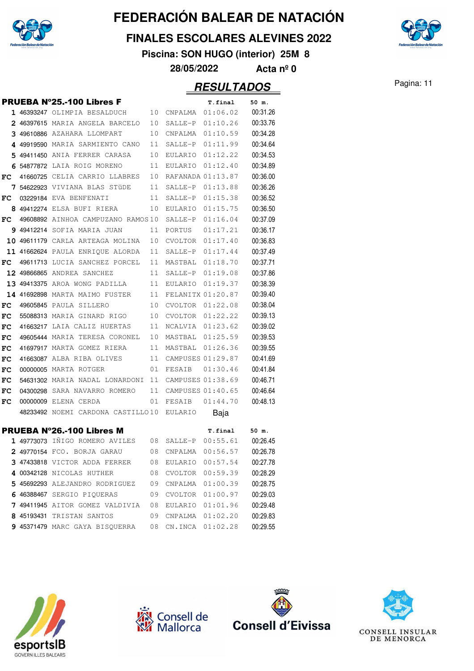

#### **FINALES ESCOLARES ALEVINES 2022**

**Piscina: SON HUGO (interior) 25M 8**

**28/05/2022 Acta nº 0**

#### Pagina: 11 **RESULTADOS**

|    | <b>PRUEBA Nº25.-100 Libres F</b>          |    |                | T.final           | 50 m.    |
|----|-------------------------------------------|----|----------------|-------------------|----------|
|    | 1 46393247 OLIMPIA BESALDUCH              | 10 | CNPALMA        | 01:06.02          | 00:31.26 |
|    | 2 46397615 MARIA ANGELA BARCELO           | 10 | SALLE-P        | 01:10.26          | 00:33.76 |
|    | 3 49610886 AZAHARA LLOMPART               | 10 | CNPALMA        | 01:10.59          | 00:34.28 |
|    | 4 49919590 MARIA SARMIENTO CANO           | 11 | SALLE-P        | 01:11.99          | 00:34.64 |
|    | 5 49411450 ANIA FERRER CARASA             | 10 |                | EULARIO 01:12.22  | 00:34.53 |
|    | 6 54877872 LAIA ROIG MORENO               | 11 | EULARIO        | 01:12.40          | 00:34.89 |
| FC | 41660725 CELIA CARRIO LLABRES             | 10 |                | RAFANADA 01:13.87 | 00:36.00 |
|    | <b>7 54622923</b> VIVIANA BLAS STÜDE      | 11 | SALLE-P        | 01:13.88          | 00:36.26 |
| FC | 03229184 EVA BENFENATI                    | 11 | SALLE-P        | 01:15.38          | 00:36.52 |
|    | 8 49412274 ELSA BUFI RIERA                | 10 | EULARIO        | 01:15.75          | 00:36.50 |
| FC | 49608892 AINHOA CAMPUZANO RAMOS10         |    | SALLE-P        | 01:16.04          | 00:37.09 |
|    | <b>9 49412214</b> SOFIA MARIA JUAN        | 11 | PORTUS         | 01:17.21          | 00:36.17 |
|    | 10 49611179 CARLA ARTEAGA MOLINA          | 10 |                | CVOLTOR 01:17.40  | 00:36.83 |
|    | 11 41662624 PAULA ENRIQUE ALORDA          | 11 | SALLE-P        | 01:17.44          | 00:37.49 |
| FC | 49611713 LUCIA SANCHEZ PORCEL             | 11 | MASTBAL        | 01:18.70          | 00:37.71 |
|    | 12 49866865 ANDREA SANCHEZ                | 11 | SALLE-P        | 01:19.08          | 00:37.86 |
|    | 13 49413375 AROA WONG PADILLA             | 11 | EULARIO        | 01:19.37          | 00:38.39 |
|    | 14 41692898 MARTA MAIMO FUSTER            | 11 |                | FELANITX 01:20.87 | 00:39.40 |
| FC | 49605845 PAULA SILLERO                    | 10 | <b>CVOLTOR</b> | 01:22.08          | 00:38.04 |
| FC | 55088313 MARIA GINARD RIGO                | 10 | CVOLTOR        | 01:22.22          | 00:39.13 |
| FC | 41663217 LAIA CALIZ HUERTAS               | 11 |                | NCALVIA 01:23.62  | 00:39.02 |
| FC | 49605444 MARIA TERESA CORONEL             | 10 |                | MASTBAL 01:25.59  | 00:39.53 |
| FC | 41697917 MARTA GOMEZ RIERA                | 11 | MASTBAL        | 01:26.36          | 00:39.55 |
| FC | 41663087 ALBA RIBA OLIVES                 | 11 |                | CAMPUSES 01:29.87 | 00:41.69 |
| FC | 00000005 MARTA ROTGER                     | 01 | FESAIB         | 01:30.46          | 00:41.84 |
| FC | 54631302 MARIA NADAL LONARDONI            | 11 |                | CAMPUSES 01:38.69 | 00:46.71 |
| FC | 04300298 SARA NAVARRO ROMERO              | 11 |                | CAMPUSES 01:40.65 | 00:46.64 |
| FC | 00000009 ELENA CERDA                      | 01 | FESAIB         | 01:44.70          | 00:48.13 |
|    | 48233492 NOEMI CARDONA CASTILLO10 EULARIO |    |                | Baja              |          |
|    | <b>PRUEBA Nº26.-100 Libres M</b>          |    |                | T.final           | 50 m.    |
|    | 1 49773073 IÑIGO ROMERO AVILES            | 08 | SALLE-P        | 00:55.61          | 00:26.45 |
|    | 2 49770154 FCO. BORJA GARAU               | 08 | CNPALMA        | 00:56.57          | 00:26.78 |
|    | 3 47433818 VICTOR ADDA FERRER             | 08 | EULARIO        | 00:57.54          | 00:27.78 |
|    | 4 00342128 NICOLAS HUTHER                 | 08 | CVOLTOR        | 00:59.39          | 00:28.29 |
|    | 5 45692293 ALEJANDRO RODRIGUEZ            | 09 | CNPALMA        | 01:00.39          | 00:28.75 |
|    | 6 46388467 SERGIO PIOUERAS                | 09 |                | CVOLTOR 01:00.97  | 00:29.03 |
|    | 7 49411945 AITOR GOMEZ VALDIVIA           | 08 | EULARIO        | 01:01.96          | 00:29.48 |
|    | 8 45193431 TRISTAN SANTOS                 | 09 | CNPALMA        | 01:02.20          | 00:29.83 |
|    | 9 45371479 MARC GAYA BISQUERRA            | 08 | CN.INCA        | 01:02.28          | 00:29.55 |
|    |                                           |    |                |                   |          |









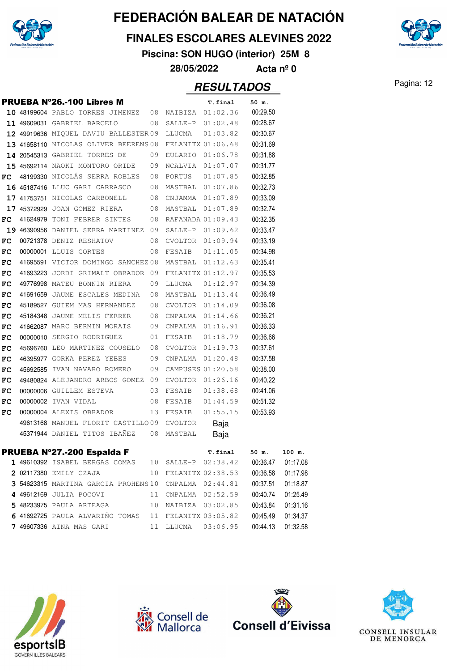

#### **FINALES ESCOLARES ALEVINES 2022**

**Piscina: SON HUGO (interior) 25M 8**

**28/05/2022 Acta nº 0**

#### Pagina: 12 **RESULTADOS**

**PRUEBA N°26.-100 Libres M** T.final 50 m. **10** 48199604 PABLO TORRES JIMENEZ 08 NAIBIZA 01:02.36 00:29.50 11 49609031 GABRIEL BARCELO 08 SALLE-P 01:02.48 00:28.67 12 49919636 MIQUEL DAVIU BALLESTER 09 LLUCMA 01:03.82 00:30.67 **13** 41658110 NICOLAS OLIVER BEERENS 08 FELANITX 01:06.68 00:31.69  **14** <sup>20545313</sup> GABRIEL TORRES DE 01:06.78 09 EULARIO 00:31.88 **15** 45692114 NAOKI MONTORO ORIDE 09 NCALVIA 01:07.07 00:31.77 **FC** 48199330 NICOLÁS SERRA ROBLES 08 PORTUS 01:07.85 00:32.85 16 45187416 LLUC GARI CARRASCO 08 MASTBAL 01:07.86 00:32.73 17 41753751 NICOLAS CARBONELL 08 CNJAMMA 01:07.89 00:33.09 **17** 45372929 JOAN GOMEZ RIERA 08 MASTBAL 01:07.89 00:32.74 **FC** 41624979 TONI FEBRER SINTES 08 RAFANADA 01:09.43 00:32.35 **19** 46390956 DANIEL SERRA MARTINEZ 09 SALLE-P 01:09.62 00:33.47 **FC** 00721378 DENIZ RESHATOV 08 CVOLTOR 01:09.94 00:33.19 **FC** <sup>00000001</sup> LLUIS CORTES 01:11.05 08 FESAIB 00:34.98 **FC** 41695591 VICTOR DOMINGO SANCHEZ 08 MASTBAL 01:12.63 00:35.41 FC 41693223 JORDI GRIMALT OBRADOR 09 FELANITX 01:12.97 00:35.53 FC 49776998 MATEU BONNIN RIERA 09 LLUCMA 01:12.97 00:34.39 **FC** 41691659 JAUME ESCALES MEDINA 08 MASTBAL 01:13.44 00:36.49 FC 45189527 GUIEM MAS HERNANDEZ 08 CVOLTOR 01:14.09 00:36.08 **FC** 45184348 JAUME MELIS FERRER 08 CNPALMA 01:14.66 00:36.21 FC 41662087 MARC BERMIN MORAIS 09 CNPALMA 01:16.91 00:36.33 FC 00000010 SERGIO RODRIGUEZ 01 FESAIB 01:18.79 00:36.66 **FC** 45696760 LEO MARTINEZ COUSELO 08 CVOLTOR 01:19.73 00:37.61 FC 46395977 GORKA PEREZ YEBES 09 CNPALMA 01:20.48 00:37.58 FC 45692585 IVAN NAVARO ROMERO 09 CAMPUSES 01:20.58 00:38.00 FC 49480824 ALEJANDRO ARBOS GOMEZ 09 CVOLTOR 01:26.16 00:40.22 **FC** 00000006 GUILLEM ESTEVA 03 FESAIB 01:38.68 00:41.06 **FC** 00000002 IVAN VIDAL 08 FESAIB 01:44.59 00:51.32 **FC** 00000004 ALEXIS OBRADOR 13 FESAIB 01:55.15 00:53.93 49613168 MANUEL FLORIT CASTILLO 09 CVOLTOR Baja 45371944 DANIEL TITOS IBAÑEZ 08 MASTBAL Baja

#### PRUEBA Nº27.-200 Espalda F **T.final 50 m. 100 m.** 1 49610392 ISABEL BERGAS COMAS 10 SALLE-P 02:38.42 00:36.47 01:17.08 **2** 02117380 EMILY CZAJA 10 FELANITX 02:38.53 00:36.58 01:17.98 **3** 54623315 MARTINA GARCIA PROHENS 10 CNPALMA 02:44.81 00:37.51 01:18.87  **4** <sup>49612169</sup> JULIA POCOVI 02:52.59 11 CNPALMA 00:40.74 01:25.49 **5** 48233975 PAULA ARTEAGA 10 NAIBIZA 03:02.85 00:43.84 01:31.16 **6** 41692725 PAULA ALVARIÑO TOMAS 11 FELANITX 03:05.82 00:45.49 01:34.37 **7** 49607336 AINA MAS GARI 11 LLUCMA 03:06.95 00:44.13 01:32.58









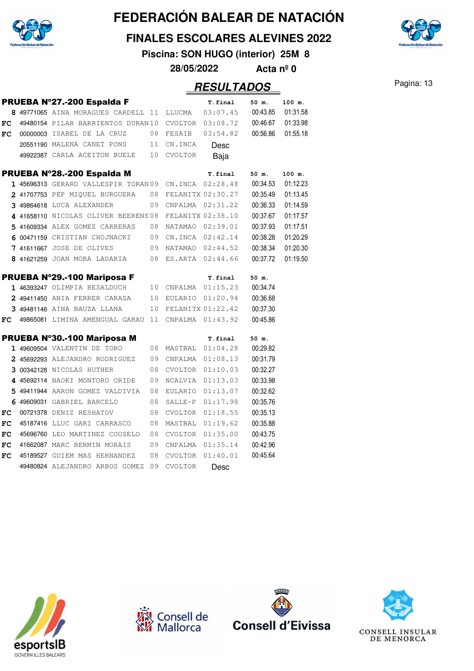

#### **FINALES ESCOLARES ALEVINES 2022**

**Piscina: SON HUGO (interior) 25M 8**

**28/05/2022 Acta nº 0**

|            | PRUEBA Nº27.-200 Espalda F                             |    |                   | T.final              | 50 m.    | 100 m.   |
|------------|--------------------------------------------------------|----|-------------------|----------------------|----------|----------|
|            | 8 49771065 AINA MORAGUES CARDELL 11 LLUCMA             |    |                   | 03:07.45             | 00:43.85 | 01:31.58 |
| FC         | 49480154 PILAR BARRIENTOS DURAN 10                     |    |                   | $CVOLTOR$ $03:08.72$ | 00:46.67 | 01:33.98 |
| FC         | 00000003 ISABEL DE LA CRUZ                             | 08 | FESAIB            | 03:54.82             | 00:56.86 | 01:55.18 |
|            | 20551190 MALENA CANET PONS                             | 11 | CN.INCA           | Desc                 |          |          |
|            | 49922387 CARLA ACEITON BUELE                           | 10 | <b>CVOLTOR</b>    | Baja                 |          |          |
|            | PRUEBA Nº28.-200 Espalda M                             |    |                   | T.final              | 50 m.    | 100 m.   |
|            | 1 45696313 GERARD VALLESPIR TORAN 09 CN. INCA 02:28.48 |    |                   |                      | 00:34.53 | 01:12.23 |
|            | 2 41707753 PEP MIQUEL BURGUERA                         | 08 | FELANITX 02:30.27 |                      | 00:35.49 | 01:13.45 |
|            | 3 49864618 LUCA ALEXANDER                              | 09 | CNPALMA 02:31.22  |                      | 00:36.33 | 01:14.59 |
|            | 4 41658110 NICOLAS OLIVER BEERENS 08                   |    | FELANITX 02:38.10 |                      | 00:37.67 | 01:17.57 |
|            | 5 41609334 ALEX GOMEZ CARRERAS                         | 08 | NATAMAO           | 02:39.01             | 00:37.93 | 01:17.51 |
|            | 6 00471159 CRISTIAN CHOJNACKI                          | 09 |                   | CN.INCA 02:42.14     | 00:38.28 | 01:20.29 |
| 7          | 41611667 JOSE DE OLIVES<br>09                          |    |                   | NATAMAO 02:44.52     | 00:38.34 | 01:20.30 |
|            | 8 41621259 JOAN MORA LADARIA                           | 08 |                   | ES.ARTA 02:44.66     | 00:37.72 | 01:19.50 |
|            | PRUEBA Nº29.-100 Mariposa F                            |    |                   | T.final              | 50 m.    |          |
|            | 1 46393247 OLIMPIA BESALDUCH                           | 10 |                   | CNPALMA 01:15.23     | 00:34.74 |          |
|            | 2 49411450 ANIA FERRER CARASA                          | 10 | EULARIO           | 01:20.94             | 00:36.68 |          |
|            | 3 49481146 AINA BAUZA LLANA                            | 10 | FELANITX 01:22.42 |                      | 00:37.30 |          |
| FC         | 49865081 LIMINA AMENGUAL GARAU 11                      |    |                   | CNPALMA  01:43.92    | 00:45.86 |          |
|            | PRUEBA Nº30.-100 Mariposa M                            |    |                   | T.final              | 50 m.    |          |
|            | 1 49609504 VALENTIN DE TORO                            | 08 | MASTBAL           | 01:04.28             | 00:29.82 |          |
|            | 2 45692293 ALEJANDRO RODRIGUEZ                         | 09 | CNPALMA           | 01:08.13             | 00:31.79 |          |
|            | 3 00342128 NICOLAS HUTHER                              | 08 | CVOLTOR           | 01:10.03             | 00:32.27 |          |
|            | 4 45692114 NAOKI MONTORO ORIDE                         | 09 | NCALVIA           | 01:13.03             | 00:33.98 |          |
|            | 5 49411944 AARON GOMEZ VALDIVIA                        | 08 | EULARIO           | 01:13.07             | 00:32.62 |          |
|            | 6 49609031 GABRIEL BARCELO                             | 08 | SALLE-P           | 01:17.98             | 00:35.76 |          |
| FC         | 00721378 DENIZ RESHATOV                                | 08 | CVOLTOR           | 01:18.55             | 00:35.13 |          |
| ${\bf FC}$ | 45187416 LLUC GARI CARRASCO                            | 08 | MASTBAL           | 01:19.62             | 00:35.88 |          |
| FC         | 45696760 LEO MARTINEZ COUSELO                          | 08 | CVOLTOR           | 01:35.00             | 00:43.75 |          |
| FC         | 41662087 MARC BERMIN MORAIS                            | 09 | CNPALMA           | 01:35.14             | 00:42.96 |          |
| FC         | 45189527 GUIEM MAS HERNANDEZ                           | 08 | CVOLTOR           | 01:40.01             | 00:45.64 |          |
|            | 49480824 ALEJANDRO ARBOS GOMEZ                         | 09 | <b>CVOLTOR</b>    | Desc                 |          |          |









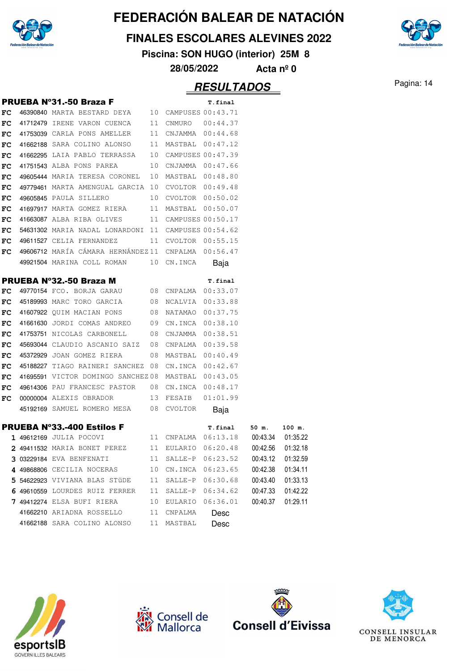

**FINALES ESCOLARES ALEVINES 2022**

**Piscina: SON HUGO (interior) 25M 8**

**28/05/2022 Acta nº 0**

## Pagina: 14 **RESULTADOS**

|     | <b>PRUEBA Nº31.-50 Braza F</b>                                     |    |                  | T.final                                                          |          |          |  |
|-----|--------------------------------------------------------------------|----|------------------|------------------------------------------------------------------|----------|----------|--|
| FC  | 46390840 MARTA BESTARD DEYA 10 CAMPUSES 00:43.71                   |    |                  |                                                                  |          |          |  |
| FC  | 41712479 IRENE VARON CUENCA 11 CNMURO 00:44.37                     |    |                  |                                                                  |          |          |  |
| FC. | 41753039 CARLA PONS AMELLER 11 CNJAMMA 00:44.68                    |    |                  |                                                                  |          |          |  |
| FC. | 41662188 SARA COLINO ALONSO 11 MASTBAL 00:47.12                    |    |                  |                                                                  |          |          |  |
| FC. | 41662295 LAIA PABLO TERRASSA 10 CAMPUSES 00:47.39                  |    |                  |                                                                  |          |          |  |
| FC  | 41751543 ALBA PONS PAREA 10 CNJAMMA 00:47.66                       |    |                  |                                                                  |          |          |  |
| FC. | 49605444 MARIA TERESA CORONEL 10 MASTBAL 00:48.80                  |    |                  |                                                                  |          |          |  |
| FC  | 49779461 MARTA AMENGUAL GARCIA 10 CVOLTOR 00:49.48                 |    |                  |                                                                  |          |          |  |
| FC. | 49605845 PAULA SILLERO 10 CVOLTOR 00:50.02                         |    |                  |                                                                  |          |          |  |
| FC  | 41697917 MARTA GOMEZ RIERA 11 MASTBAL 00:50.07                     |    |                  |                                                                  |          |          |  |
| FC. | 41663087 ALBA RIBA OLIVES 11 CAMPUSES 00:50.17                     |    |                  |                                                                  |          |          |  |
| FC. | 54631302 MARIA NADAL LONARDONI 11 CAMPUSES 00:54.62                |    |                  |                                                                  |          |          |  |
| FC  | 49611527 CELIA FERNANDEZ 11 CVOLTOR 00:55.15                       |    |                  |                                                                  |          |          |  |
| FC. | 49606712 MARÍA CÁMARA HERNÁNDEZ11 CNPALMA 00:56.47                 |    |                  |                                                                  |          |          |  |
|     | 49921504 MARINA COLL ROMAN 10 CN.INCA                              |    |                  | Baja                                                             |          |          |  |
|     | PRUEBA Nº32.-50 Braza M                                            |    |                  | T.final                                                          |          |          |  |
| FC  | 49770154 FCO. BORJA GARAU 08 CNPALMA 00:33.07                      |    |                  |                                                                  |          |          |  |
| FC. | 45189993 MARC TORO GARCIA 08 NCALVIA 00:33.88                      |    |                  |                                                                  |          |          |  |
| FC. | 41607922 QUIM MACIAN PONS 08 NATAMAO 00:37.75                      |    |                  |                                                                  |          |          |  |
| FC  | 41661630 JORDI COMAS ANDREO 09 CN.INCA 00:38.10                    |    |                  |                                                                  |          |          |  |
| FC. | 41753751 NICOLAS CARBONELL 08 CNJAMMA 00:38.51                     |    |                  |                                                                  |          |          |  |
| FC. | 45693044 CLAUDIO ASCANIO SAIZ 08 CNPALMA 00:39.58                  |    |                  |                                                                  |          |          |  |
| FC. | 45372929 JOAN GOMEZ RIERA 08 MASTBAL 00:40.49                      |    |                  |                                                                  |          |          |  |
| FC  | 45188227 TIAGO RAINERI SANCHEZ 08 CN.INCA 00:42.67                 |    |                  |                                                                  |          |          |  |
| FC  | 41695591 VICTOR DOMINGO SANCHEZ08 MASTBAL 00:43.05                 |    |                  |                                                                  |          |          |  |
| FC. | 49614306 PAU FRANCESC PASTOR 08 CN.INCA 00:48.17                   |    |                  |                                                                  |          |          |  |
| FC. | 00000004 ALEXIS OBRADOR 13 FESAIB 01:01.99                         |    |                  |                                                                  |          |          |  |
|     | 45192169 SAMUEL ROMERO MESA 08 CVOLTOR                             |    |                  | Baja                                                             |          |          |  |
|     | PRUEBA Nº33.-400 Estilos F                                         |    |                  |                                                                  |          |          |  |
|     | 1 49612169 JULIA POCOVI                                            |    |                  | T.final 50 m. 100 m.<br>11 CNPALMA  06:13.18  00:43.34  01:35.22 |          |          |  |
|     | 2 49411532 MARIA BONET PEREZ 11 EULARIO 06:20.48 00:42.56 01:32.18 |    |                  |                                                                  |          |          |  |
|     | 3 03229184 EVA BENFENATI                                           | 11 | SALLE-P 06:23.52 |                                                                  | 00:43.12 | 01:32.59 |  |
|     | 4 49868806 CECILIA NOCERAS                                         | 10 | CN.INCA 06:23.65 |                                                                  | 00:42.38 | 01:34.11 |  |
|     | 5 54622923 VIVIANA BLAS STÜDE                                      | 11 | SALLE-P          | 06:30.68                                                         | 00:43.40 | 01:33.13 |  |
|     | 6 49610559 LOURDES RUIZ FERRER                                     | 11 | SALLE-P          | 06:34.62                                                         | 00:47.33 | 01:42.22 |  |
|     | 7 49412274 ELSA BUFI RIERA                                         | 10 |                  | EULARIO 06:36.01                                                 | 00:40.37 | 01:29.11 |  |
|     | 41662210 ARIADNA ROSSELLO                                          | 11 | CNPALMA          | Desc                                                             |          |          |  |
|     | 41662188 SARA COLINO ALONSO                                        | 11 | MASTBAL          | Desc                                                             |          |          |  |
|     |                                                                    |    |                  |                                                                  |          |          |  |







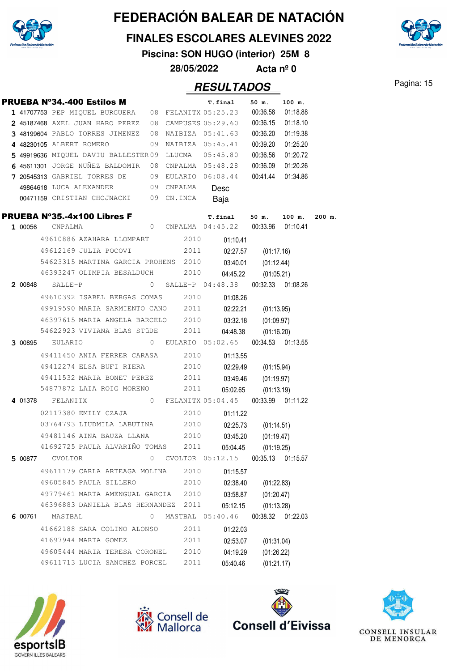

#### **FINALES ESCOLARES ALEVINES 2022**

**Piscina: SON HUGO (interior) 25M 8**

**28/05/2022 Acta nº 0**

|         |                 | PRUEBA Nº34.-400 Estilos M                           |                |                  | T.final                               | 50 m.             | 100 m.   |          |
|---------|-----------------|------------------------------------------------------|----------------|------------------|---------------------------------------|-------------------|----------|----------|
|         |                 | 1 41707753 PEP MIQUEL BURGUERA 08 FELANITX 05:25.23  |                |                  |                                       | 00:36.58          | 01:18.88 |          |
|         |                 | 2 45187468 AXEL JUAN HARO PEREZ 08 CAMPUSES 05:29.60 |                |                  |                                       | 00:36.15          | 01:18.10 |          |
|         |                 | 3 48199604 PABLO TORRES JIMENEZ 08 NAIBIZA 05:41.63  |                |                  |                                       | 00:36.20          | 01:19.38 |          |
|         |                 | 4 48230105 ALBERT ROMERO                             |                |                  | 09 NAIBIZA 05:45.41                   | 00:39.20          | 01:25.20 |          |
|         |                 | 5 49919636 MIQUEL DAVIU BALLESTER 09 LLUCMA          |                |                  | 05:45.80                              | 00:36.56          | 01:20.72 |          |
|         |                 | 6 45611301 JORGE NUÑEZ BALDOMIR                      | 08             | CNPALMA 05:48.28 |                                       | 00:36.09          | 01:20.26 |          |
|         |                 | 7 20545313 GABRIEL TORRES DE                         |                |                  | 09 EULARIO 06:08.44                   | 00:41.44          | 01:34.86 |          |
|         |                 | 49864618 LUCA ALEXANDER                              |                | 09 CNPALMA       | Desc                                  |                   |          |          |
|         |                 | 00471159 CRISTIAN CHOJNACKI 09 CN.INCA               |                |                  | Baja                                  |                   |          |          |
|         |                 | <b>PRUEBA N°35.-4x100 Libres F</b>                   |                |                  | T.final                               | 50 m.             | 100 m.   | $200$ m. |
| 1 00056 | CNPALMA         |                                                      | $\circ$        |                  | CNPALMA  04:45.22  00:33.96  01:10.41 |                   |          |          |
|         |                 | 49610886 AZAHARA LLOMPART                            |                | 2010             | 01:10.41                              |                   |          |          |
|         |                 | 49612169 JULIA POCOVI                                |                | 2011             | 02:27.57                              | (01:17.16)        |          |          |
|         |                 | 54623315 MARTINA GARCIA PROHENS 2010                 |                |                  | 03:40.01                              | (01:12.44)        |          |          |
|         |                 | 46393247 OLIMPIA BESALDUCH 2010                      |                |                  | 04:45.22                              | (01:05.21)        |          |          |
|         | 2 00848 SALLE-P |                                                      | 0              |                  | SALLE-P 04:48.38                      | 00:32.33 01:08.26 |          |          |
|         |                 | 49610392 ISABEL BERGAS COMAS 2010                    |                |                  | 01:08.26                              |                   |          |          |
|         |                 | 49919590 MARIA SARMIENTO CANO 2011                   |                |                  | 02:22.21                              | (01:13.95)        |          |          |
|         |                 | 46397615 MARIA ANGELA BARCELO 2010                   |                |                  | 03:32.18                              | (01:09.97)        |          |          |
|         |                 | 54622923 VIVIANA BLAS STÜDE 2011                     |                |                  | 04:48.38                              | (01:16.20)        |          |          |
|         | 3 00895 EULARIO |                                                      | $\overline{0}$ |                  | EULARIO 05:02.65                      | 00:34.53 01:13.55 |          |          |
|         |                 | 49411450 ANIA FERRER CARASA 2010                     |                |                  | 01:13.55                              |                   |          |          |
|         |                 | 49412274 ELSA BUFI RIERA                             |                | 2010             | 02:29.49                              | (01:15.94)        |          |          |
|         |                 | 49411532 MARIA BONET PEREZ 2011                      |                |                  | 03:49.46                              | (01:19.97)        |          |          |
|         |                 | 54877872 LAIA ROIG MORENO                            |                | 2011             | 05:02.65                              | (01:13.19)        |          |          |
| 4 01378 | FELANITX        |                                                      | $\mathbf{0}$   |                  | FELANITX 05:04.45                     | 00:33.99 01:11.22 |          |          |
|         |                 | 02117380 EMILY CZAJA                                 |                | 2010             | 01:11.22                              |                   |          |          |
|         |                 | 03764793 LIUDMILA LABUTINA 2010                      |                |                  | 02:25.73                              | (01:14.51)        |          |          |
|         |                 | 49481146 AINA BAUZA LLANA 2010                       |                |                  | 03:45.20                              | (01:19.47)        |          |          |
|         |                 | 41692725 PAULA ALVARIÑO TOMAS                        |                | 2011             | 05:04.45                              | (01:19.25)        |          |          |
| 5 00877 | CVOLTOR         |                                                      | 0              | CVOLTOR 05:12.15 |                                       | 00:35.13          | 01:15.57 |          |
|         |                 | 49611179 CARLA ARTEAGA MOLINA                        |                | 2010             | 01:15.57                              |                   |          |          |
|         |                 | 49605845 PAULA SILLERO                               |                | 2010             | 02:38.40                              | (01:22.83)        |          |          |
|         |                 | 49779461 MARTA AMENGUAL GARCIA 2010                  |                |                  | 03:58.87                              | (01:20.47)        |          |          |
|         |                 | 46396883 DANIELA BLAS HERNANDEZ 2011                 |                |                  | 05:12.15                              | (01:13.28)        |          |          |
| 6 00761 | MASTBAL         |                                                      | 0              |                  | MASTBAL 05:40.46                      | 00:38.32 01:22.03 |          |          |
|         |                 | 41662188 SARA COLINO ALONSO                          |                | 2011             | 01:22.03                              |                   |          |          |
|         |                 | 41697944 MARTA GOMEZ                                 |                | 2011             | 02:53.07                              | (01:31.04)        |          |          |
|         |                 | 49605444 MARIA TERESA CORONEL                        |                | 2010             | 04:19.29                              | (01:26.22)        |          |          |
|         |                 | 49611713 LUCIA SANCHEZ PORCEL                        |                | 2011             | 05:40.46                              | (01:21.17)        |          |          |
|         |                 |                                                      |                |                  |                                       |                   |          |          |